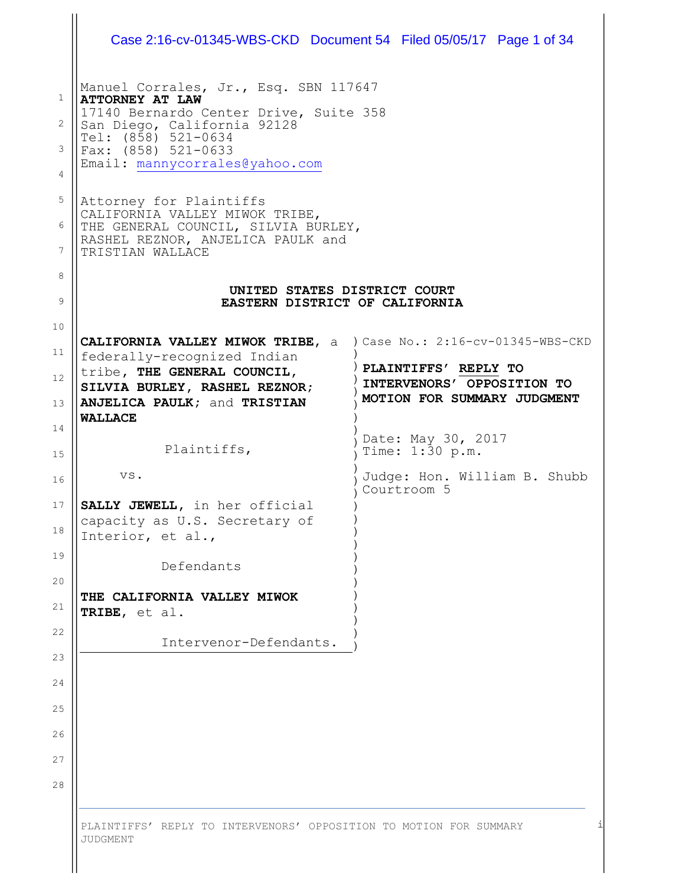| Manuel Corrales, Jr., Esq. SBN 117647                                                                                                         |                                                           |  |  |
|-----------------------------------------------------------------------------------------------------------------------------------------------|-----------------------------------------------------------|--|--|
| <b>ATTORNEY AT LAW</b><br>17140 Bernardo Center Drive, Suite 358<br>San Diego, California 92128<br>Tel: (858) 521-0634<br>Fax: (858) 521-0633 |                                                           |  |  |
|                                                                                                                                               |                                                           |  |  |
| Attorney for Plaintiffs                                                                                                                       |                                                           |  |  |
| CALIFORNIA VALLEY MIWOK TRIBE,<br>THE GENERAL COUNCIL, SILVIA BURLEY,<br>RASHEL REZNOR, ANJELICA PAULK and<br>TRISTIAN WALLACE                |                                                           |  |  |
|                                                                                                                                               |                                                           |  |  |
| UNITED STATES DISTRICT COURT<br>EASTERN DISTRICT OF CALIFORNIA                                                                                |                                                           |  |  |
| <b>CALIFORNIA VALLEY MIWOK TRIBE, a</b>                                                                                                       | ) Case No.: $2:16$ -cv-01345-WBS-CKD                      |  |  |
| federally-recognized Indian<br>tribe, THE GENERAL COUNCIL,                                                                                    | PLAINTIFFS' REPLY TO                                      |  |  |
| SILVIA BURLEY, RASHEL REZNOR;                                                                                                                 | INTERVENORS' OPPOSITION TO<br>MOTION FOR SUMMARY JUDGMENT |  |  |
| ANJELICA PAULK; and TRISTIAN<br><b>WALLACE</b>                                                                                                |                                                           |  |  |
| Plaintiffs,                                                                                                                                   | Date: May 30, 2017<br>Time: 1:30 p.m.                     |  |  |
| VS.                                                                                                                                           | Judge: Hon. William B. Shubb<br>Courtroom 5               |  |  |
| SALLY JEWELL, in her official                                                                                                                 |                                                           |  |  |
| capacity as U.S. Secretary of<br>Interior, et al.,                                                                                            |                                                           |  |  |
| Defendants                                                                                                                                    |                                                           |  |  |
| THE CALIFORNIA VALLEY MIWOK                                                                                                                   |                                                           |  |  |
| TRIBE, et al.                                                                                                                                 |                                                           |  |  |
| Intervenor-Defendants.                                                                                                                        |                                                           |  |  |
|                                                                                                                                               |                                                           |  |  |
|                                                                                                                                               |                                                           |  |  |
|                                                                                                                                               |                                                           |  |  |
|                                                                                                                                               |                                                           |  |  |
|                                                                                                                                               |                                                           |  |  |
|                                                                                                                                               |                                                           |  |  |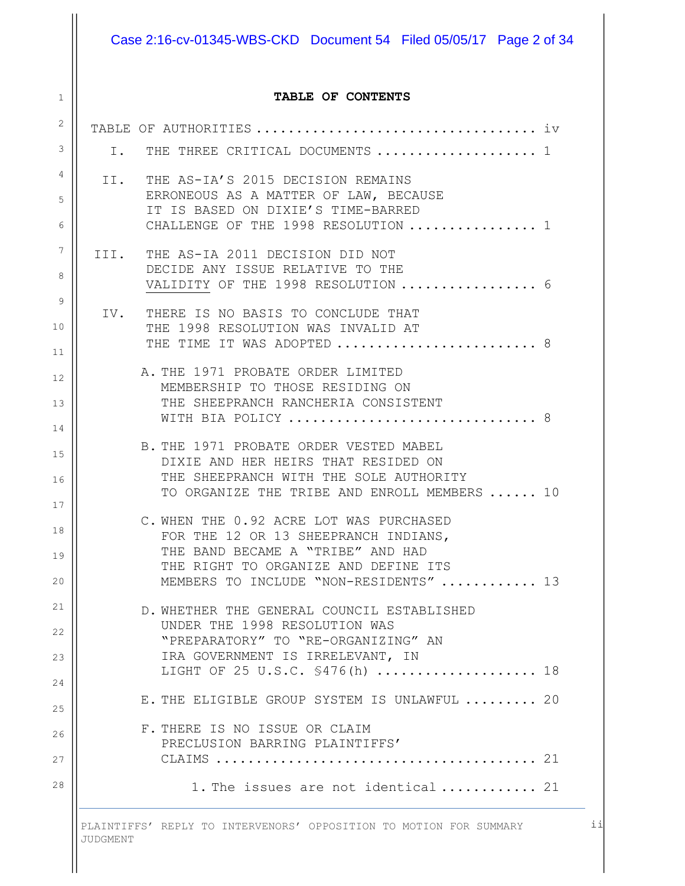# Case 2:16-cv-01345-WBS-CKD Document 54 Filed 05/05/17 Page 2 of 34

#### **TABLE OF CONTENTS**

| $\overline{2}$ |     |                                                                                        |
|----------------|-----|----------------------------------------------------------------------------------------|
| 3              | Ι.  | THE THREE CRITICAL DOCUMENTS  1                                                        |
| 4              | II. | THE AS-IA'S 2015 DECISION REMAINS                                                      |
| 5              |     | ERRONEOUS AS A MATTER OF LAW, BECAUSE<br>IT IS BASED ON DIXIE'S TIME-BARRED            |
| 6              |     | CHALLENGE OF THE 1998 RESOLUTION  1                                                    |
| 7              |     | III. THE AS-IA 2011 DECISION DID NOT                                                   |
| 8              |     | DECIDE ANY ISSUE RELATIVE TO THE<br>VALIDITY OF THE 1998 RESOLUTION  6                 |
| 9              |     | IV. THERE IS NO BASIS TO CONCLUDE THAT                                                 |
| 10             |     | THE 1998 RESOLUTION WAS INVALID AT                                                     |
| 11             |     | THE TIME IT WAS ADOPTED  8                                                             |
| 12             |     | A. THE 1971 PROBATE ORDER LIMITED<br>MEMBERSHIP TO THOSE RESIDING ON                   |
| 13             |     | THE SHEEPRANCH RANCHERIA CONSISTENT                                                    |
| 14             |     | WITH BIA POLICY  8                                                                     |
| 15             |     | B. THE 1971 PROBATE ORDER VESTED MABEL<br>DIXIE AND HER HEIRS THAT RESIDED ON          |
| 16             |     | THE SHEEPRANCH WITH THE SOLE AUTHORITY<br>TO ORGANIZE THE TRIBE AND ENROLL MEMBERS  10 |
| 17             |     | C. WHEN THE 0.92 ACRE LOT WAS PURCHASED                                                |
| 18             |     | FOR THE 12 OR 13 SHEEPRANCH INDIANS,                                                   |
| 19             |     | THE BAND BECAME A "TRIBE" AND HAD<br>THE RIGHT TO ORGANIZE AND DEFINE ITS              |
| 20             |     | MEMBERS TO INCLUDE "NON-RESIDENTS"  13                                                 |
| 21             |     | D. WHETHER THE GENERAL COUNCIL ESTABLISHED                                             |
| 22             |     | UNDER THE 1998 RESOLUTION WAS<br>"PREPARATORY" TO "RE-ORGANIZING" AN                   |
| 23             |     | IRA GOVERNMENT IS IRRELEVANT, IN                                                       |
| 24             |     | LIGHT OF 25 U.S.C. \$476(h)  18                                                        |
| 25             |     | E. THE ELIGIBLE GROUP SYSTEM IS UNLAWFUL  20                                           |
| 26             |     | F. THERE IS NO ISSUE OR CLAIM<br>PRECLUSION BARRING PLAINTIFFS'                        |
| 27             |     |                                                                                        |
| 28             |     | 1. The issues are not identical 21                                                     |
|                |     |                                                                                        |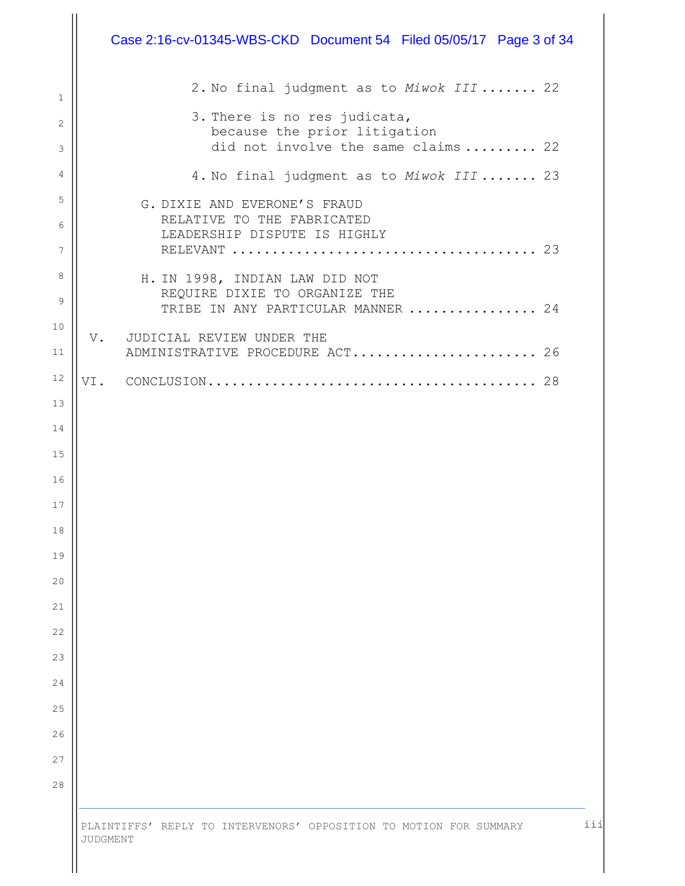|                   | Case 2:16-cv-01345-WBS-CKD  Document 54  Filed 05/05/17  Page 3 of 34                               |
|-------------------|-----------------------------------------------------------------------------------------------------|
| $\mathbf{1}$      | 2. No final judgment as to Miwok III  22                                                            |
| $\mathbf{2}$<br>3 | 3. There is no res judicata,<br>because the prior litigation<br>did not involve the same claims  22 |
| 4                 | 4. No final judgment as to Miwok III  23                                                            |
| 5                 | G. DIXIE AND EVERONE'S FRAUD                                                                        |
| 6<br>7            | RELATIVE TO THE FABRICATED<br>LEADERSHIP DISPUTE IS HIGHLY                                          |
| 8                 | H. IN 1998, INDIAN LAW DID NOT                                                                      |
| 9                 | REQUIRE DIXIE TO ORGANIZE THE<br>TRIBE IN ANY PARTICULAR MANNER  24                                 |
| 10                | V. JUDICIAL REVIEW UNDER THE                                                                        |
| 11                | ADMINISTRATIVE PROCEDURE ACT 26                                                                     |
| 12                |                                                                                                     |
| 13                |                                                                                                     |
| 14                |                                                                                                     |
| $15$              |                                                                                                     |
| 16                |                                                                                                     |
| 17                |                                                                                                     |
| 18                |                                                                                                     |
| 19                |                                                                                                     |
| 20                |                                                                                                     |
| 21                |                                                                                                     |
| 22                |                                                                                                     |
| 23<br>24          |                                                                                                     |
| 25                |                                                                                                     |
| 26                |                                                                                                     |
| 27                |                                                                                                     |
| 28                |                                                                                                     |
|                   |                                                                                                     |
|                   | PLAINTIFFS' REPLY TO INTERVENORS' OPPOSITION TO MOTION FOR SUMMARY<br>JUDGMENT                      |

 $\mathop{\text{II}}$ 

iii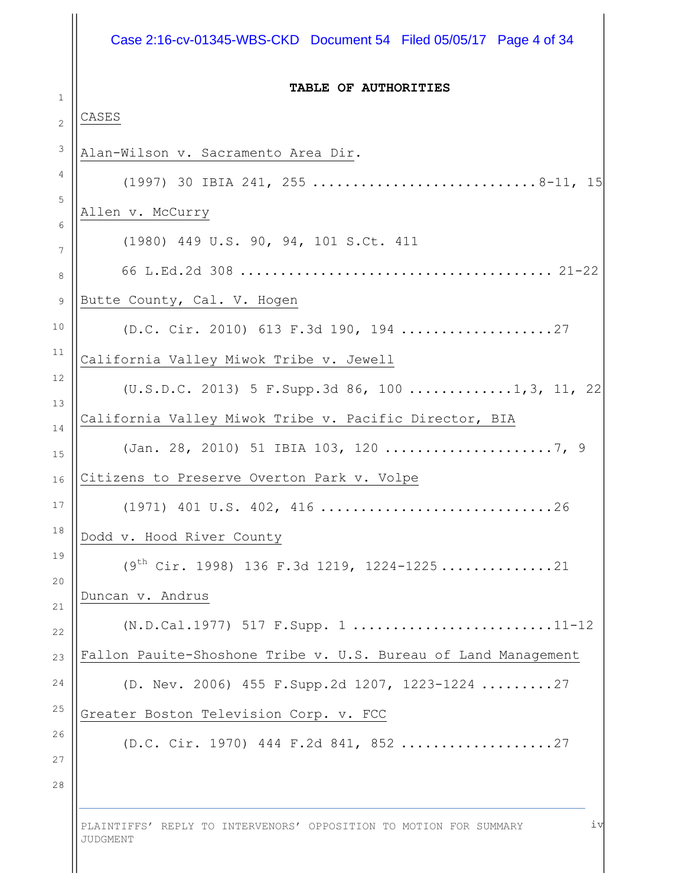#### Case 2:16-cv-01345-WBS-CKD Document 54 Filed 05/05/17 Page 4 of 34

#### **TABLE OF AUTHORITIES**

#### CASES

1

2 3 4 5 6 7 8 9 10 11 12 13 14 15 16 17 18 19 20 21 22 23 24 25 26 27 28 Alan-Wilson v. Sacramento Area Dir. (1997) 30 IBIA 241, 255 ............................8-11, 15 Allen v. McCurry (1980) 449 U.S. 90, 94, 101 S.Ct. 411 66 L.Ed.2d 308 ....................................... 21-22 Butte County, Cal. V. Hogen (D.C. Cir. 2010) 613 F.3d 190, 194 ...................27 California Valley Miwok Tribe v. Jewell (U.S.D.C. 2013) 5 F.Supp.3d 86, 100 .............1,3, 11, 22 California Valley Miwok Tribe v. Pacific Director, BIA (Jan. 28, 2010) 51 IBIA 103, 120 .....................7, 9 Citizens to Preserve Overton Park v. Volpe (1971) 401 U.S. 402, 416 .............................26 Dodd v. Hood River County  $(9<sup>th</sup> Cir. 1998)$  136 F.3d 1219, 1224-1225.................21 Duncan v. Andrus (N.D.Cal.1977) 517 F.Supp. 1 .........................11-12 Fallon Pauite-Shoshone Tribe v. U.S. Bureau of Land Management (D. Nev. 2006) 455 F.Supp.2d 1207, 1223-1224 .........27 Greater Boston Television Corp. v. FCC (D.C. Cir. 1970) 444 F.2d 841, 852 ...................27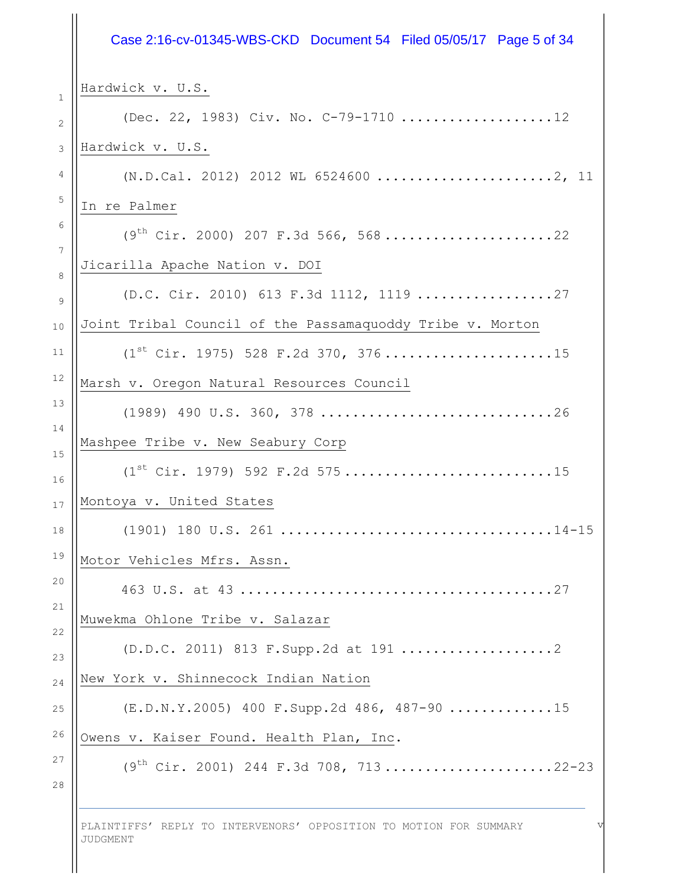## 1 2 3 4 5 6 7 8 9 10 11 12 13 14 15 16 17 18 19 20 21 22 23 24 25 26 27 28 Hardwick v. U.S. (Dec. 22, 1983) Civ. No. C-79-1710 ...................12 Hardwick v. U.S. (N.D.Cal. 2012) 2012 WL 6524600 ......................2, 11 In re Palmer  $(9<sup>th</sup> Cir. 2000) 207 F.3d 566, 568...$ .....................22 Jicarilla Apache Nation v. DOI (D.C. Cir. 2010) 613 F.3d 1112, 1119 .................27 Joint Tribal Council of the Passamaquoddy Tribe v. Morton  $(1^{st}$  Cir. 1975) 528 F.2d 370, 376........................15 Marsh v. Oregon Natural Resources Council (1989) 490 U.S. 360, 378 .............................26 Mashpee Tribe v. New Seabury Corp  $(1^{st}$  Cir. 1979) 592 F.2d 575...............................15 Montoya v. United States (1901) 180 U.S. 261 ..................................14-15 Motor Vehicles Mfrs. Assn. 463 U.S. at 43 .......................................27 Muwekma Ohlone Tribe v. Salazar (D.D.C. 2011) 813 F.Supp.2d at 191 ...................2 New York v. Shinnecock Indian Nation (E.D.N.Y.2005) 400 F.Supp.2d 486, 487-90 .............15 Owens v. Kaiser Found. Health Plan, Inc.  $(9^{th}$  Cir. 2001) 244 F.3d 708, 713.......................22-23 Case 2:16-cv-01345-WBS-CKD Document 54 Filed 05/05/17 Page 5 of 34

PLAINTIFFS' REPLY TO INTERVENORS' OPPOSITION TO MOTION FOR SUMMARY JUDGMENT

v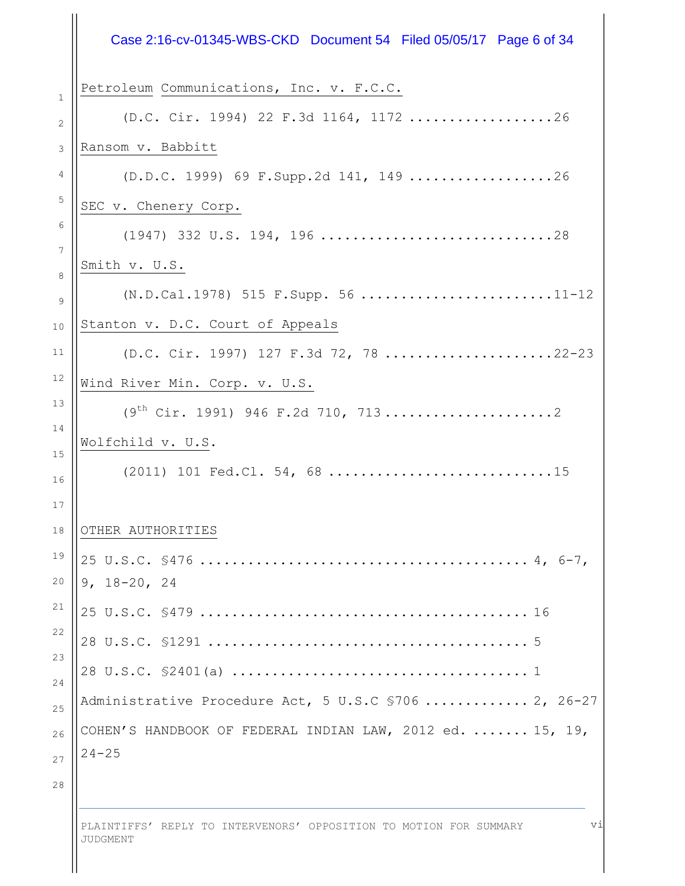|                 | Case 2:16-cv-01345-WBS-CKD  Document 54  Filed 05/05/17  Page 6 of 34  |
|-----------------|------------------------------------------------------------------------|
| $\mathbf{1}$    | Petroleum Communications, Inc. v. F.C.C.                               |
| 2               | (D.C. Cir. 1994) 22 F.3d 1164, 1172 26                                 |
| 3               | Ransom v. Babbitt                                                      |
| 4               | $(D.D.C. 1999)$ 69 F. Supp. 2d 141, 149 26                             |
| 5               | SEC v. Chenery Corp.                                                   |
| 6               |                                                                        |
| $\sqrt{ }$<br>8 | Smith v. U.S.                                                          |
| 9               | (N.D.Cal.1978) 515 F.Supp. 56 11-12                                    |
| 10              | Stanton v. D.C. Court of Appeals                                       |
| 11              | (D.C. Cir. 1997) 127 F.3d 72, 78 22-23                                 |
| 12              | Wind River Min. Corp. v. U.S.                                          |
| 13              | $(9th Cir. 1991) 946 F.2d 710, 7132$                                   |
| 14<br>15        | Wolfchild v. U.S.                                                      |
| 16              | (2011) 101 Fed.Cl. 54, 68 15                                           |
| 17              |                                                                        |
| 18              | OTHER AUTHORITIES                                                      |
| 19<br>20        | $9, 18 - 20, 24$                                                       |
| 21              |                                                                        |
| 22              |                                                                        |
| 23<br>24        |                                                                        |
|                 | Administrative Procedure Act, 5 U.S.C \$706  2, 26-27                  |
|                 | COHEN'S HANDBOOK OF FEDERAL INDIAN LAW, 2012 ed.  15, 19,<br>$24 - 25$ |
| 28              |                                                                        |

PLAINTIFFS' REPLY TO INTERVENORS' OPPOSITION TO MOTION FOR SUMMARY JUDGMENT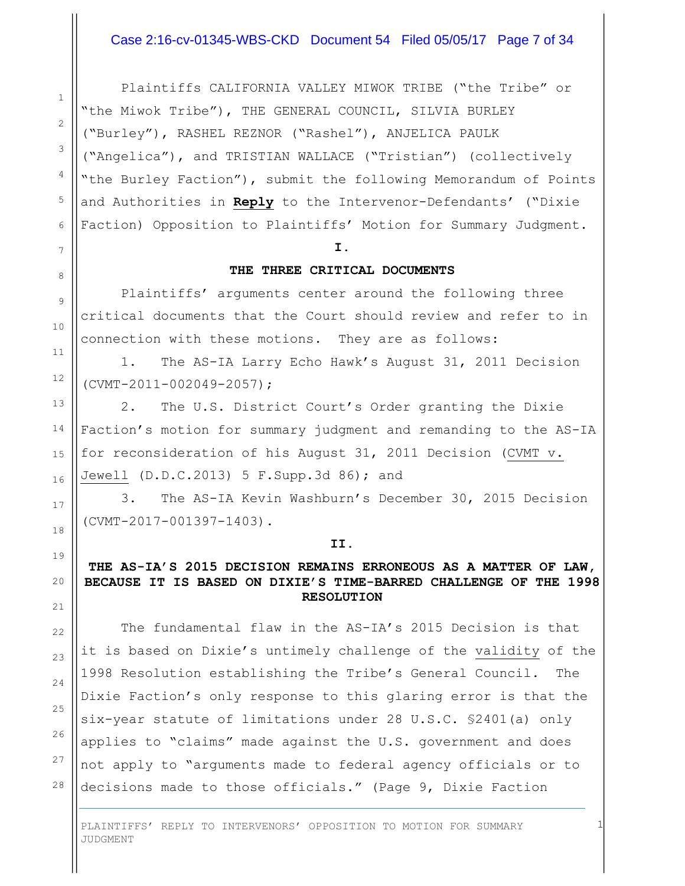## Case 2:16-cv-01345-WBS-CKD Document 54 Filed 05/05/17 Page 7 of 34

Plaintiffs CALIFORNIA VALLEY MIWOK TRIBE ("the Tribe" or "the Miwok Tribe"), THE GENERAL COUNCIL, SILVIA BURLEY ("Burley"), RASHEL REZNOR ("Rashel"), ANJELICA PAULK ("Angelica"), and TRISTIAN WALLACE ("Tristian") (collectively "the Burley Faction"), submit the following Memorandum of Points and Authorities in **Reply** to the Intervenor-Defendants' ("Dixie Faction) Opposition to Plaintiffs' Motion for Summary Judgment.

#### **I.**

#### **THE THREE CRITICAL DOCUMENTS**

Plaintiffs' arguments center around the following three critical documents that the Court should review and refer to in connection with these motions. They are as follows:

1. The AS-IA Larry Echo Hawk's August 31, 2011 Decision (CVMT-2011-002049-2057);

2. The U.S. District Court's Order granting the Dixie Faction's motion for summary judgment and remanding to the AS-IA for reconsideration of his August 31, 2011 Decision (CVMT v. Jewell (D.D.C.2013) 5 F.Supp.3d 86); and

3. The AS-IA Kevin Washburn's December 30, 2015 Decision (CVMT-2017-001397-1403).

#### **II.**

## **THE AS-IA'S 2015 DECISION REMAINS ERRONEOUS AS A MATTER OF LAW, BECAUSE IT IS BASED ON DIXIE'S TIME-BARRED CHALLENGE OF THE 1998 RESOLUTION**

The fundamental flaw in the AS-IA's 2015 Decision is that it is based on Dixie's untimely challenge of the validity of the 1998 Resolution establishing the Tribe's General Council. The Dixie Faction's only response to this glaring error is that the six-year statute of limitations under 28 U.S.C. §2401(a) only applies to "claims" made against the U.S. government and does not apply to "arguments made to federal agency officials or to decisions made to those officials." (Page 9, Dixie Faction

1

PLAINTIFFS' REPLY TO INTERVENORS' OPPOSITION TO MOTION FOR SUMMARY JUDGMENT

27

28

1

2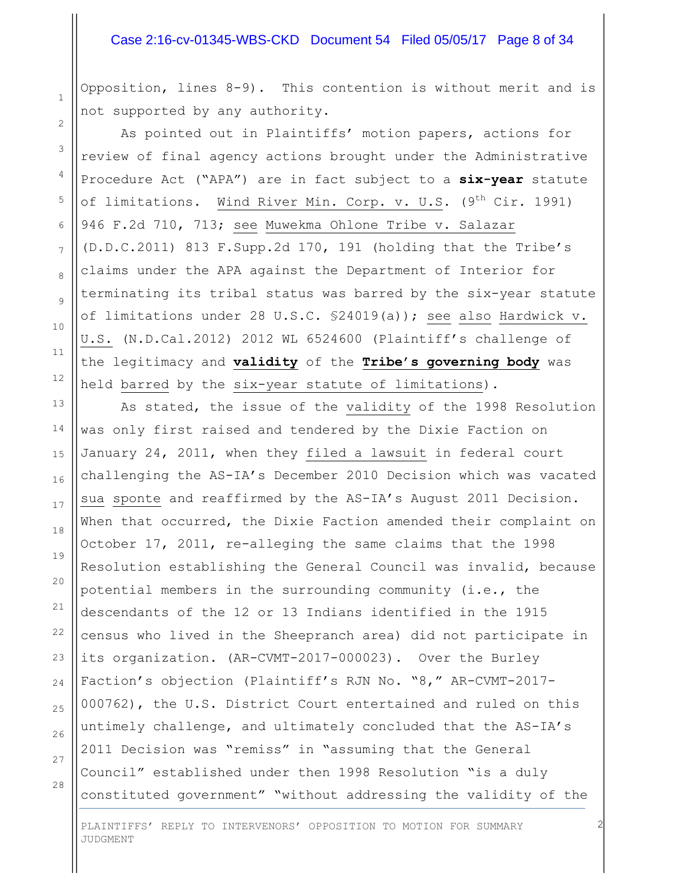#### Case 2:16-cv-01345-WBS-CKD Document 54 Filed 05/05/17 Page 8 of 34

Opposition, lines 8-9). This contention is without merit and is not supported by any authority.

As pointed out in Plaintiffs' motion papers, actions for review of final agency actions brought under the Administrative Procedure Act ("APA") are in fact subject to a **six-year** statute of limitations. Wind River Min. Corp. v. U.S.  $(9^{th}$  Cir. 1991) 946 F.2d 710, 713; see Muwekma Ohlone Tribe v. Salazar (D.D.C.2011) 813 F.Supp.2d 170, 191 (holding that the Tribe's claims under the APA against the Department of Interior for terminating its tribal status was barred by the six-year statute of limitations under 28 U.S.C. §24019(a)); see also Hardwick v. U.S. (N.D.Cal.2012) 2012 WL 6524600 (Plaintiff's challenge of the legitimacy and **validity** of the **Tribe's governing body** was held barred by the six-year statute of limitations).

As stated, the issue of the validity of the 1998 Resolution was only first raised and tendered by the Dixie Faction on January 24, 2011, when they filed a lawsuit in federal court challenging the AS-IA's December 2010 Decision which was vacated sua sponte and reaffirmed by the AS-IA's August 2011 Decision. When that occurred, the Dixie Faction amended their complaint on October 17, 2011, re-alleging the same claims that the 1998 Resolution establishing the General Council was invalid, because potential members in the surrounding community (i.e., the descendants of the 12 or 13 Indians identified in the 1915 census who lived in the Sheepranch area) did not participate in its organization. (AR-CVMT-2017-000023). Over the Burley Faction's objection (Plaintiff's RJN No. "8," AR-CVMT-2017- 000762), the U.S. District Court entertained and ruled on this untimely challenge, and ultimately concluded that the AS-IA's 2011 Decision was "remiss" in "assuming that the General Council" established under then 1998 Resolution "is a duly constituted government" "without addressing the validity of the

25 26 27

28

1

2

3

4

5

6

7

8

9

10

11

12

13

14

15

16

17

18

19

20

21

22

23

24

PLAINTIFFS' REPLY TO INTERVENORS' OPPOSITION TO MOTION FOR SUMMARY JUDGMENT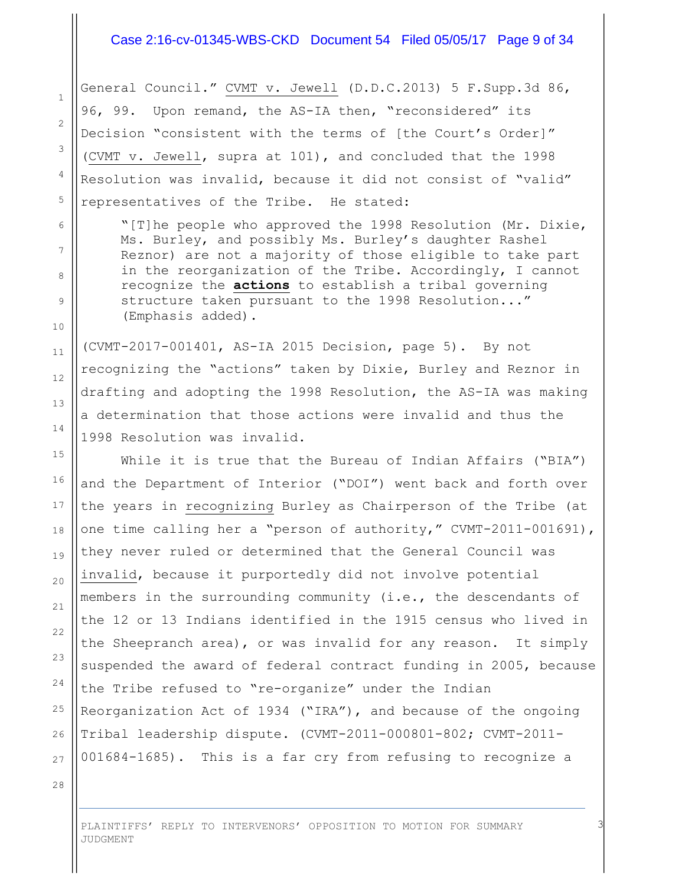## Case 2:16-cv-01345-WBS-CKD Document 54 Filed 05/05/17 Page 9 of 34

General Council." CVMT v. Jewell (D.D.C.2013) 5 F.Supp.3d 86, 96, 99. Upon remand, the AS-IA then, "reconsidered" its Decision "consistent with the terms of [the Court's Order]" (CVMT v. Jewell, supra at 101), and concluded that the 1998 Resolution was invalid, because it did not consist of "valid" representatives of the Tribe. He stated:

"[T]he people who approved the 1998 Resolution (Mr. Dixie, Ms. Burley, and possibly Ms. Burley's daughter Rashel Reznor) are not a majority of those eligible to take part in the reorganization of the Tribe. Accordingly, I cannot recognize the **actions** to establish a tribal governing structure taken pursuant to the 1998 Resolution..." (Emphasis added).

(CVMT-2017-001401, AS-IA 2015 Decision, page 5). By not recognizing the "actions" taken by Dixie, Burley and Reznor in drafting and adopting the 1998 Resolution, the AS-IA was making a determination that those actions were invalid and thus the 1998 Resolution was invalid.

While it is true that the Bureau of Indian Affairs ("BIA") and the Department of Interior ("DOI") went back and forth over the years in recognizing Burley as Chairperson of the Tribe (at one time calling her a "person of authority," CVMT-2011-001691), they never ruled or determined that the General Council was invalid, because it purportedly did not involve potential members in the surrounding community (i.e., the descendants of the 12 or 13 Indians identified in the 1915 census who lived in the Sheepranch area), or was invalid for any reason. It simply suspended the award of federal contract funding in 2005, because the Tribe refused to "re-organize" under the Indian Reorganization Act of 1934 ("IRA"), and because of the ongoing Tribal leadership dispute. (CVMT-2011-000801-802; CVMT-2011- 001684-1685). This is a far cry from refusing to recognize a

28

1

2

3

4

5

6

7

8

9

10

11

12

13

14

15

16

17

18

19

20

21

22

23

24

25

26

27

PLAINTIFFS' REPLY TO INTERVENORS' OPPOSITION TO MOTION FOR SUMMARY JUDGMENT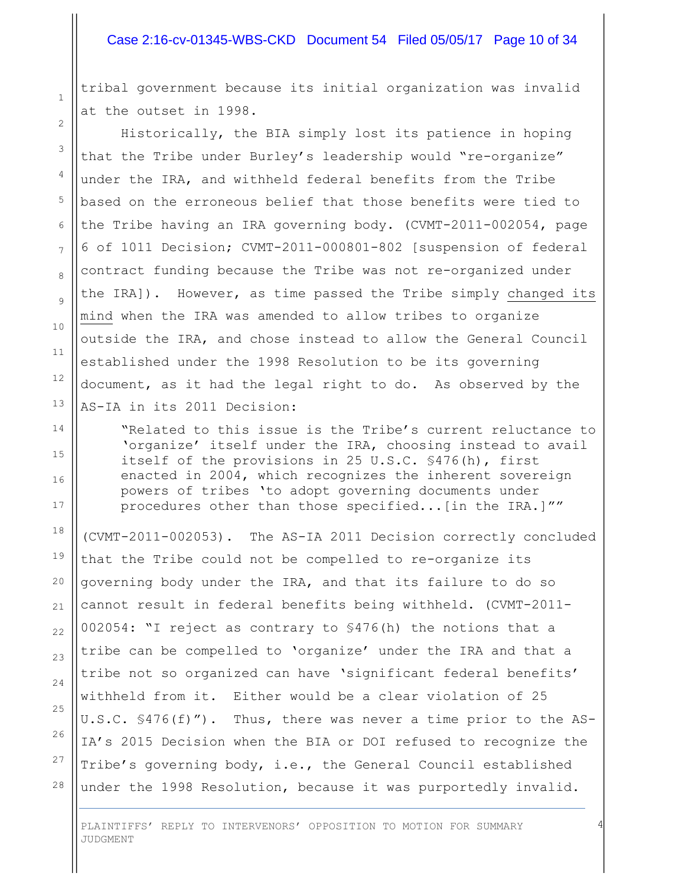#### Case 2:16-cv-01345-WBS-CKD Document 54 Filed 05/05/17 Page 10 of 34

tribal government because its initial organization was invalid at the outset in 1998.

1

2

3

4

5

6

7

8

9

10

11

12

13

14

15

16

17

18

19

20

21

22

23

24

25

26

27

28

Historically, the BIA simply lost its patience in hoping that the Tribe under Burley's leadership would "re-organize" under the IRA, and withheld federal benefits from the Tribe based on the erroneous belief that those benefits were tied to the Tribe having an IRA governing body. (CVMT-2011-002054, page 6 of 1011 Decision; CVMT-2011-000801-802 [suspension of federal contract funding because the Tribe was not re-organized under the IRA]). However, as time passed the Tribe simply changed its mind when the IRA was amended to allow tribes to organize outside the IRA, and chose instead to allow the General Council established under the 1998 Resolution to be its governing document, as it had the legal right to do. As observed by the AS-IA in its 2011 Decision:

"Related to this issue is the Tribe's current reluctance to 'organize' itself under the IRA, choosing instead to avail itself of the provisions in 25 U.S.C. §476(h), first enacted in 2004, which recognizes the inherent sovereign powers of tribes 'to adopt governing documents under procedures other than those specified...[in the IRA.]""

(CVMT-2011-002053). The AS-IA 2011 Decision correctly concluded that the Tribe could not be compelled to re-organize its governing body under the IRA, and that its failure to do so cannot result in federal benefits being withheld. (CVMT-2011- 002054: "I reject as contrary to §476(h) the notions that a tribe can be compelled to 'organize' under the IRA and that a tribe not so organized can have 'significant federal benefits' withheld from it. Either would be a clear violation of 25 U.S.C. §476(f)"). Thus, there was never a time prior to the AS-IA's 2015 Decision when the BIA or DOI refused to recognize the Tribe's governing body, i.e., the General Council established under the 1998 Resolution, because it was purportedly invalid.

4

PLAINTIFFS' REPLY TO INTERVENORS' OPPOSITION TO MOTION FOR SUMMARY JUDGMENT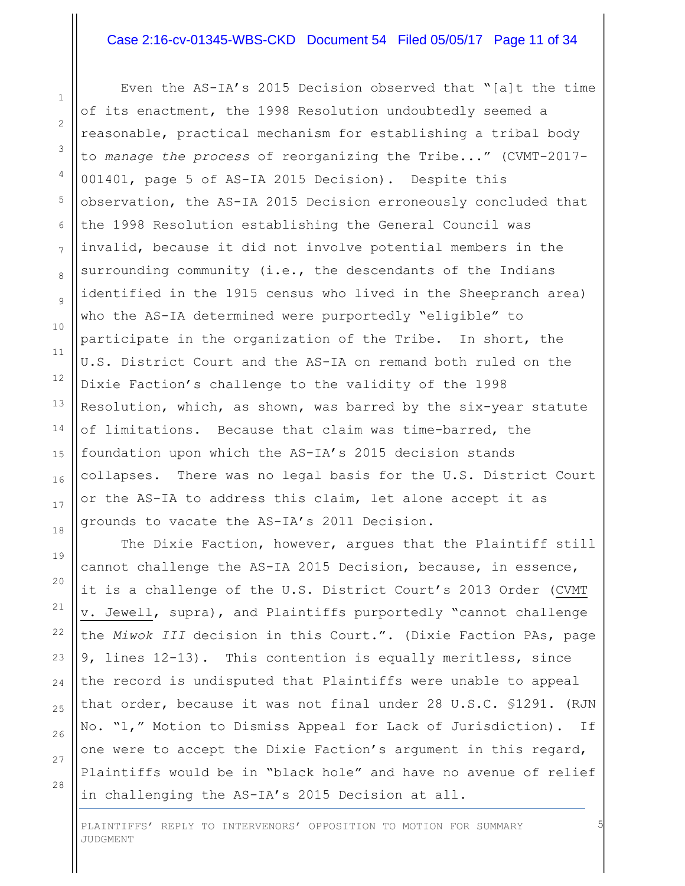#### Case 2:16-cv-01345-WBS-CKD Document 54 Filed 05/05/17 Page 11 of 34

Even the AS-IA's 2015 Decision observed that "[a]t the time of its enactment, the 1998 Resolution undoubtedly seemed a reasonable, practical mechanism for establishing a tribal body to *manage the process* of reorganizing the Tribe..." (CVMT-2017- 001401, page 5 of AS-IA 2015 Decision). Despite this observation, the AS-IA 2015 Decision erroneously concluded that the 1998 Resolution establishing the General Council was invalid, because it did not involve potential members in the surrounding community (i.e., the descendants of the Indians identified in the 1915 census who lived in the Sheepranch area) who the AS-IA determined were purportedly "eligible" to participate in the organization of the Tribe. In short, the U.S. District Court and the AS-IA on remand both ruled on the Dixie Faction's challenge to the validity of the 1998 Resolution, which, as shown, was barred by the six-year statute of limitations. Because that claim was time-barred, the foundation upon which the AS-IA's 2015 decision stands collapses. There was no legal basis for the U.S. District Court or the AS-IA to address this claim, let alone accept it as grounds to vacate the AS-IA's 2011 Decision.

The Dixie Faction, however, argues that the Plaintiff still cannot challenge the AS-IA 2015 Decision, because, in essence, it is a challenge of the U.S. District Court's 2013 Order (CVMT v. Jewell, supra), and Plaintiffs purportedly "cannot challenge the *Miwok III* decision in this Court.". (Dixie Faction PAs, page 9, lines 12-13). This contention is equally meritless, since the record is undisputed that Plaintiffs were unable to appeal that order, because it was not final under 28 U.S.C. §1291. (RJN No. "1," Motion to Dismiss Appeal for Lack of Jurisdiction). If one were to accept the Dixie Faction's argument in this regard, Plaintiffs would be in "black hole" and have no avenue of relief in challenging the AS-IA's 2015 Decision at all.

5

28

1

2

PLAINTIFFS' REPLY TO INTERVENORS' OPPOSITION TO MOTION FOR SUMMARY JUDGMENT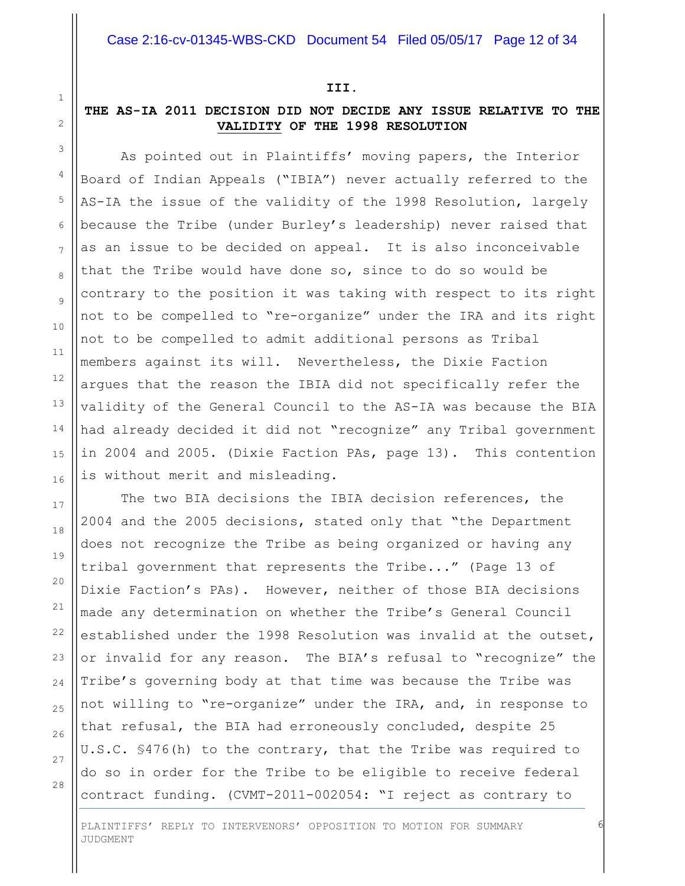#### **III.**

## **THE AS-IA 2011 DECISION DID NOT DECIDE ANY ISSUE RELATIVE TO THE VALIDITY OF THE 1998 RESOLUTION**

As pointed out in Plaintiffs' moving papers, the Interior Board of Indian Appeals ("IBIA") never actually referred to the AS-IA the issue of the validity of the 1998 Resolution, largely because the Tribe (under Burley's leadership) never raised that as an issue to be decided on appeal. It is also inconceivable that the Tribe would have done so, since to do so would be contrary to the position it was taking with respect to its right not to be compelled to "re-organize" under the IRA and its right not to be compelled to admit additional persons as Tribal members against its will. Nevertheless, the Dixie Faction argues that the reason the IBIA did not specifically refer the validity of the General Council to the AS-IA was because the BIA had already decided it did not "recognize" any Tribal government in 2004 and 2005. (Dixie Faction PAs, page 13). This contention is without merit and misleading.

The two BIA decisions the IBIA decision references, the 2004 and the 2005 decisions, stated only that "the Department does not recognize the Tribe as being organized or having any tribal government that represents the Tribe..." (Page 13 of Dixie Faction's PAs). However, neither of those BIA decisions made any determination on whether the Tribe's General Council established under the 1998 Resolution was invalid at the outset, or invalid for any reason. The BIA's refusal to "recognize" the Tribe's governing body at that time was because the Tribe was not willing to "re-organize" under the IRA, and, in response to that refusal, the BIA had erroneously concluded, despite 25 U.S.C. §476(h) to the contrary, that the Tribe was required to do so in order for the Tribe to be eligible to receive federal contract funding. (CVMT-2011-002054: "I reject as contrary to

6

1 2

3

4

5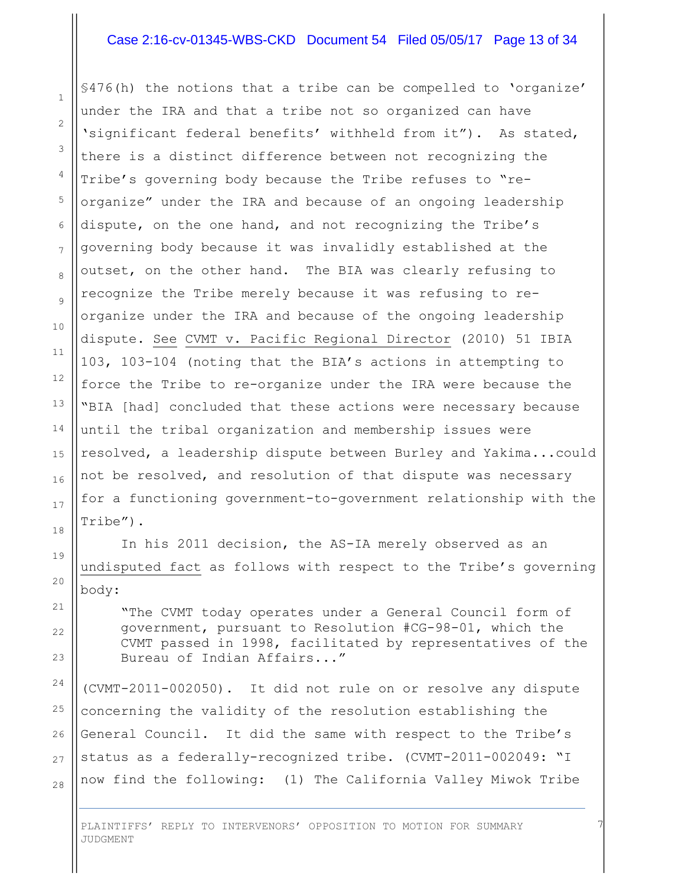#### Case 2:16-cv-01345-WBS-CKD Document 54 Filed 05/05/17 Page 13 of 34

§476(h) the notions that a tribe can be compelled to 'organize' under the IRA and that a tribe not so organized can have 'significant federal benefits' withheld from it"). As stated, there is a distinct difference between not recognizing the Tribe's governing body because the Tribe refuses to "reorganize" under the IRA and because of an ongoing leadership dispute, on the one hand, and not recognizing the Tribe's governing body because it was invalidly established at the outset, on the other hand. The BIA was clearly refusing to recognize the Tribe merely because it was refusing to reorganize under the IRA and because of the ongoing leadership dispute. See CVMT v. Pacific Regional Director (2010) 51 IBIA 103, 103-104 (noting that the BIA's actions in attempting to force the Tribe to re-organize under the IRA were because the "BIA [had] concluded that these actions were necessary because until the tribal organization and membership issues were resolved, a leadership dispute between Burley and Yakima...could not be resolved, and resolution of that dispute was necessary for a functioning government-to-government relationship with the Tribe").

In his 2011 decision, the AS-IA merely observed as an undisputed fact as follows with respect to the Tribe's governing body:

"The CVMT today operates under a General Council form of government, pursuant to Resolution #CG-98-01, which the CVMT passed in 1998, facilitated by representatives of the Bureau of Indian Affairs..."

7

26 28 (CVMT-2011-002050). It did not rule on or resolve any dispute concerning the validity of the resolution establishing the General Council. It did the same with respect to the Tribe's status as a federally-recognized tribe. (CVMT-2011-002049: "I now find the following: (1) The California Valley Miwok Tribe

PLAINTIFFS' REPLY TO INTERVENORS' OPPOSITION TO MOTION FOR SUMMARY JUDGMENT

27

1

2

3

4

5

6

7

8

9

10

11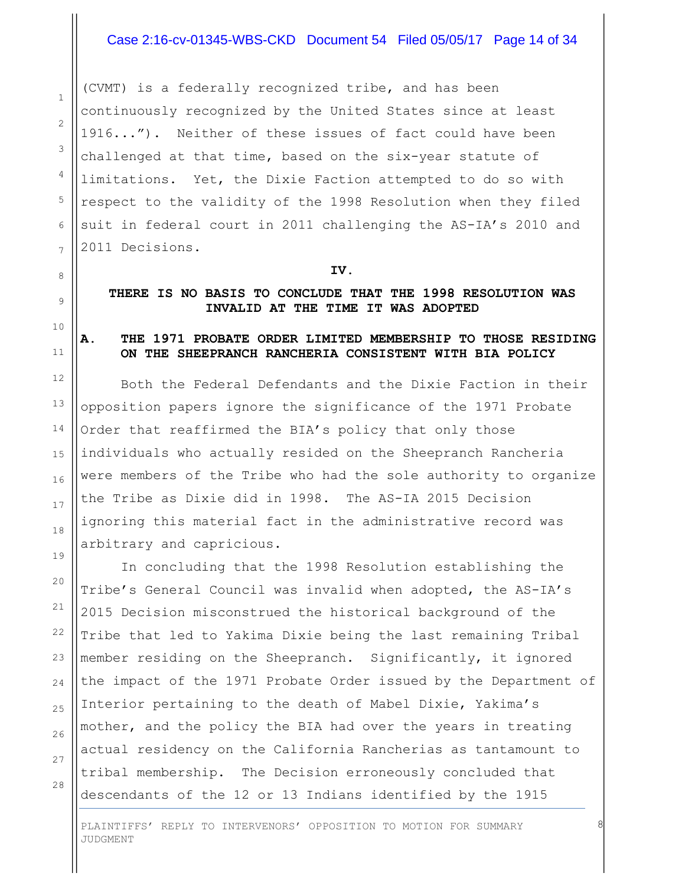## Case 2:16-cv-01345-WBS-CKD Document 54 Filed 05/05/17 Page 14 of 34

(CVMT) is a federally recognized tribe, and has been continuously recognized by the United States since at least 1916..."). Neither of these issues of fact could have been challenged at that time, based on the six-year statute of limitations. Yet, the Dixie Faction attempted to do so with respect to the validity of the 1998 Resolution when they filed suit in federal court in 2011 challenging the AS-IA's 2010 and 2011 Decisions.

#### **IV.**

#### **THERE IS NO BASIS TO CONCLUDE THAT THE 1998 RESOLUTION WAS INVALID AT THE TIME IT WAS ADOPTED**

#### **A. THE 1971 PROBATE ORDER LIMITED MEMBERSHIP TO THOSE RESIDING ON THE SHEEPRANCH RANCHERIA CONSISTENT WITH BIA POLICY**

Both the Federal Defendants and the Dixie Faction in their opposition papers ignore the significance of the 1971 Probate Order that reaffirmed the BIA's policy that only those individuals who actually resided on the Sheepranch Rancheria were members of the Tribe who had the sole authority to organize the Tribe as Dixie did in 1998. The AS-IA 2015 Decision ignoring this material fact in the administrative record was arbitrary and capricious.

In concluding that the 1998 Resolution establishing the Tribe's General Council was invalid when adopted, the AS-IA's 2015 Decision misconstrued the historical background of the Tribe that led to Yakima Dixie being the last remaining Tribal member residing on the Sheepranch. Significantly, it ignored the impact of the 1971 Probate Order issued by the Department of Interior pertaining to the death of Mabel Dixie, Yakima's mother, and the policy the BIA had over the years in treating actual residency on the California Rancherias as tantamount to tribal membership. The Decision erroneously concluded that descendants of the 12 or 13 Indians identified by the 1915

8

28

1

2

3

4

5

6

7

8

9

10

11

12

13

14

15

16

17

18

19

20

21

22

23

24

25

26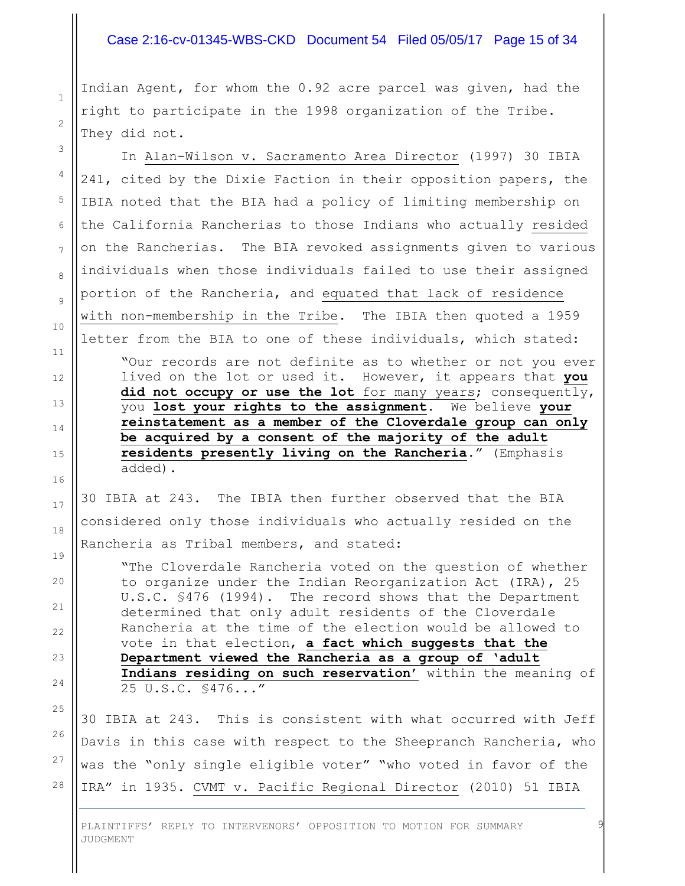#### Case 2:16-cv-01345-WBS-CKD Document 54 Filed 05/05/17 Page 15 of 34

Indian Agent, for whom the 0.92 acre parcel was given, had the right to participate in the 1998 organization of the Tribe. They did not.

1

2

3

4

5

6

7

8

9

10

11

12

13

14

15

16

17

18

19

20

21

 $22$ 

23

24

25

26

27

28

In Alan-Wilson v. Sacramento Area Director (1997) 30 IBIA 241, cited by the Dixie Faction in their opposition papers, the IBIA noted that the BIA had a policy of limiting membership on the California Rancherias to those Indians who actually resided on the Rancherias. The BIA revoked assignments given to various individuals when those individuals failed to use their assigned portion of the Rancheria, and equated that lack of residence with non-membership in the Tribe. The IBIA then quoted a 1959 letter from the BIA to one of these individuals, which stated:

"Our records are not definite as to whether or not you ever lived on the lot or used it. However, it appears that **you did not occupy or use the lot** for many years; consequently, you **lost your rights to the assignment**. We believe **your reinstatement as a member of the Cloverdale group can only be acquired by a consent of the majority of the adult residents presently living on the Rancheria**." (Emphasis added).

30 IBIA at 243. The IBIA then further observed that the BIA considered only those individuals who actually resided on the Rancheria as Tribal members, and stated:

"The Cloverdale Rancheria voted on the question of whether to organize under the Indian Reorganization Act (IRA), 25 U.S.C. §476 (1994). The record shows that the Department determined that only adult residents of the Cloverdale Rancheria at the time of the election would be allowed to vote in that election, **a fact which suggests that the Department viewed the Rancheria as a group of 'adult Indians residing on such reservation'** within the meaning of 25 U.S.C. §476..."

30 IBIA at 243. This is consistent with what occurred with Jeff Davis in this case with respect to the Sheepranch Rancheria, who was the "only single eligible voter" "who voted in favor of the IRA" in 1935. CVMT v. Pacific Regional Director (2010) 51 IBIA

9

PLAINTIFFS' REPLY TO INTERVENORS' OPPOSITION TO MOTION FOR SUMMARY JUDGMENT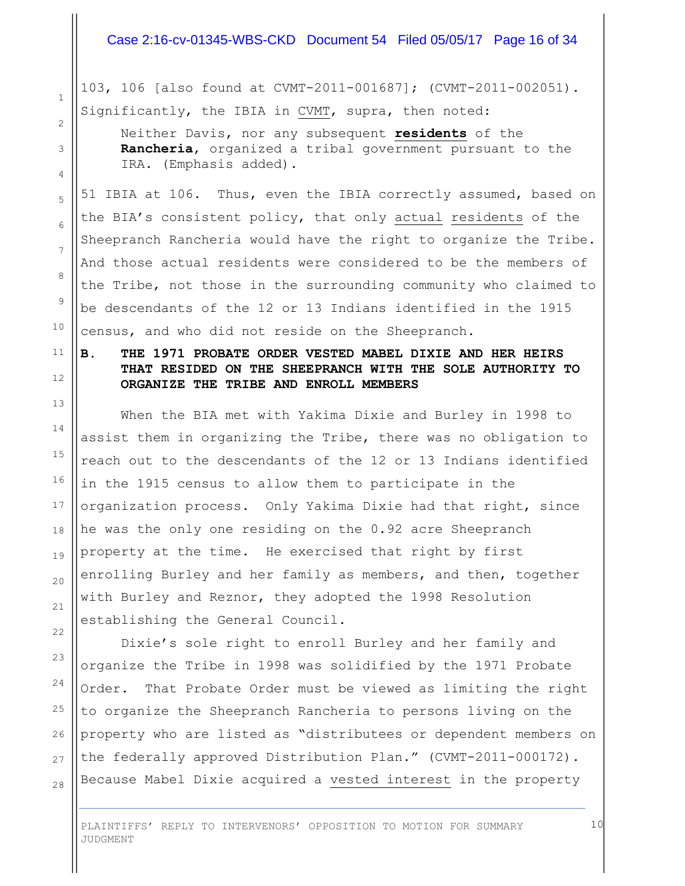#### Case 2:16-cv-01345-WBS-CKD Document 54 Filed 05/05/17 Page 16 of 34

103, 106 [also found at CVMT-2011-001687]; (CVMT-2011-002051). Significantly, the IBIA in CVMT, supra, then noted:

1

2

3

4

5

6

7

8

9

10

11

12

13

14

15

16

17

18

19

20

21

22

23

24

25

26

27

28

Neither Davis, nor any subsequent **residents** of the **Rancheria**, organized a tribal government pursuant to the IRA. (Emphasis added).

51 IBIA at 106. Thus, even the IBIA correctly assumed, based on the BIA's consistent policy, that only actual residents of the Sheepranch Rancheria would have the right to organize the Tribe. And those actual residents were considered to be the members of the Tribe, not those in the surrounding community who claimed to be descendants of the 12 or 13 Indians identified in the 1915 census, and who did not reside on the Sheepranch.

**B. THE 1971 PROBATE ORDER VESTED MABEL DIXIE AND HER HEIRS THAT RESIDED ON THE SHEEPRANCH WITH THE SOLE AUTHORITY TO ORGANIZE THE TRIBE AND ENROLL MEMBERS**

When the BIA met with Yakima Dixie and Burley in 1998 to assist them in organizing the Tribe, there was no obligation to reach out to the descendants of the 12 or 13 Indians identified in the 1915 census to allow them to participate in the organization process. Only Yakima Dixie had that right, since he was the only one residing on the 0.92 acre Sheepranch property at the time. He exercised that right by first enrolling Burley and her family as members, and then, together with Burley and Reznor, they adopted the 1998 Resolution establishing the General Council.

Dixie's sole right to enroll Burley and her family and organize the Tribe in 1998 was solidified by the 1971 Probate Order. That Probate Order must be viewed as limiting the right to organize the Sheepranch Rancheria to persons living on the property who are listed as "distributees or dependent members on the federally approved Distribution Plan." (CVMT-2011-000172). Because Mabel Dixie acquired a vested interest in the property

10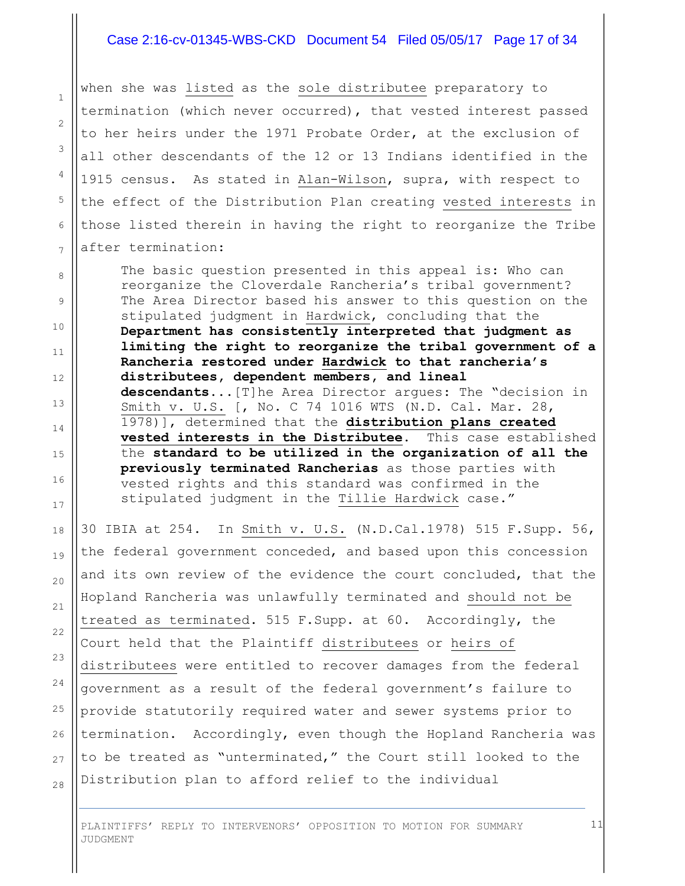#### Case 2:16-cv-01345-WBS-CKD Document 54 Filed 05/05/17 Page 17 of 34

when she was listed as the sole distributee preparatory to termination (which never occurred), that vested interest passed to her heirs under the 1971 Probate Order, at the exclusion of all other descendants of the 12 or 13 Indians identified in the 1915 census. As stated in Alan-Wilson, supra, with respect to the effect of the Distribution Plan creating vested interests in those listed therein in having the right to reorganize the Tribe after termination:

1

2

3

4

5

6

7

8

9

10

11

12

13

14

15

16

17

18

19

20

21

22

23

24

25

26

27

28

The basic question presented in this appeal is: Who can reorganize the Cloverdale Rancheria's tribal government? The Area Director based his answer to this question on the stipulated judgment in Hardwick, concluding that the **Department has consistently interpreted that judgment as limiting the right to reorganize the tribal government of a Rancheria restored under Hardwick to that rancheria's distributees, dependent members, and lineal descendants**...[T]he Area Director argues: The "decision in Smith v. U.S. [, No. C 74 1016 WTS (N.D. Cal. Mar. 28, 1978)], determined that the **distribution plans created vested interests in the Distributee**. This case established the **standard to be utilized in the organization of all the previously terminated Rancherias** as those parties with vested rights and this standard was confirmed in the stipulated judgment in the Tillie Hardwick case."

30 IBIA at 254. In Smith v. U.S. (N.D.Cal.1978) 515 F.Supp. 56, the federal government conceded, and based upon this concession and its own review of the evidence the court concluded, that the Hopland Rancheria was unlawfully terminated and should not be treated as terminated. 515 F.Supp. at 60. Accordingly, the Court held that the Plaintiff distributees or heirs of distributees were entitled to recover damages from the federal government as a result of the federal government's failure to provide statutorily required water and sewer systems prior to termination. Accordingly, even though the Hopland Rancheria was to be treated as "unterminated," the Court still looked to the Distribution plan to afford relief to the individual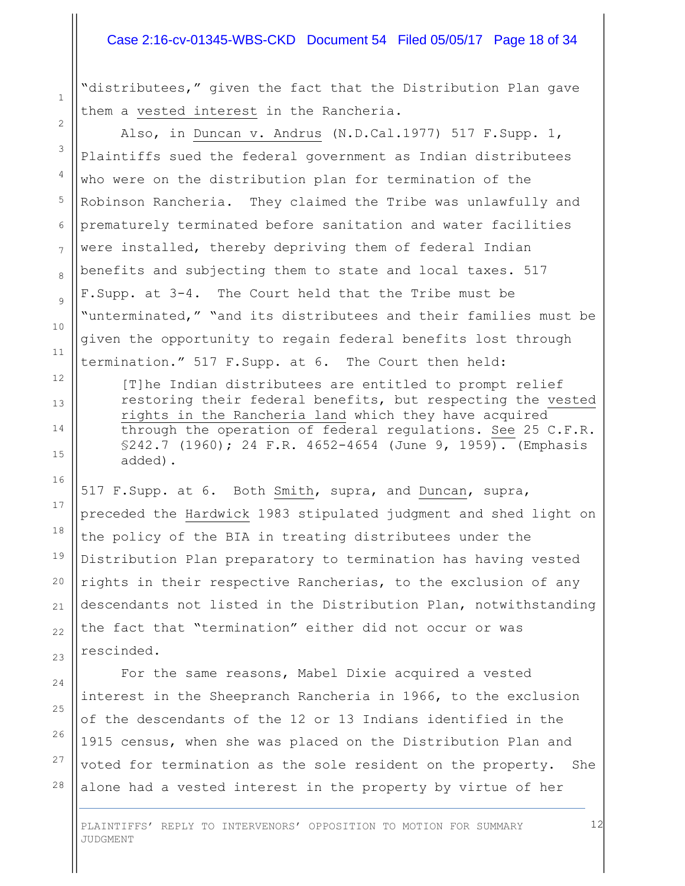#### Case 2:16-cv-01345-WBS-CKD Document 54 Filed 05/05/17 Page 18 of 34

"distributees," given the fact that the Distribution Plan gave them a vested interest in the Rancheria.

Also, in Duncan v. Andrus (N.D.Cal.1977) 517 F.Supp. 1, Plaintiffs sued the federal government as Indian distributees who were on the distribution plan for termination of the Robinson Rancheria. They claimed the Tribe was unlawfully and prematurely terminated before sanitation and water facilities were installed, thereby depriving them of federal Indian benefits and subjecting them to state and local taxes. 517 F.Supp. at 3-4. The Court held that the Tribe must be "unterminated," "and its distributees and their families must be given the opportunity to regain federal benefits lost through termination." 517 F.Supp. at 6. The Court then held:

[T]he Indian distributees are entitled to prompt relief restoring their federal benefits, but respecting the vested rights in the Rancheria land which they have acquired through the operation of federal regulations. See 25 C.F.R. §242.7 (1960); 24 F.R. 4652-4654 (June 9, 1959). (Emphasis added).

517 F.Supp. at 6. Both Smith, supra, and Duncan, supra, preceded the Hardwick 1983 stipulated judgment and shed light on the policy of the BIA in treating distributees under the Distribution Plan preparatory to termination has having vested rights in their respective Rancherias, to the exclusion of any descendants not listed in the Distribution Plan, notwithstanding the fact that "termination" either did not occur or was rescinded.

For the same reasons, Mabel Dixie acquired a vested interest in the Sheepranch Rancheria in 1966, to the exclusion of the descendants of the 12 or 13 Indians identified in the 1915 census, when she was placed on the Distribution Plan and voted for termination as the sole resident on the property. She alone had a vested interest in the property by virtue of her

PLAINTIFFS' REPLY TO INTERVENORS' OPPOSITION TO MOTION FOR SUMMARY JUDGMENT

26 27

28

1

2

3

4

5

6

7

8

9

10

11

12

13

14

15

16

17

18

19

20

21

22

23

24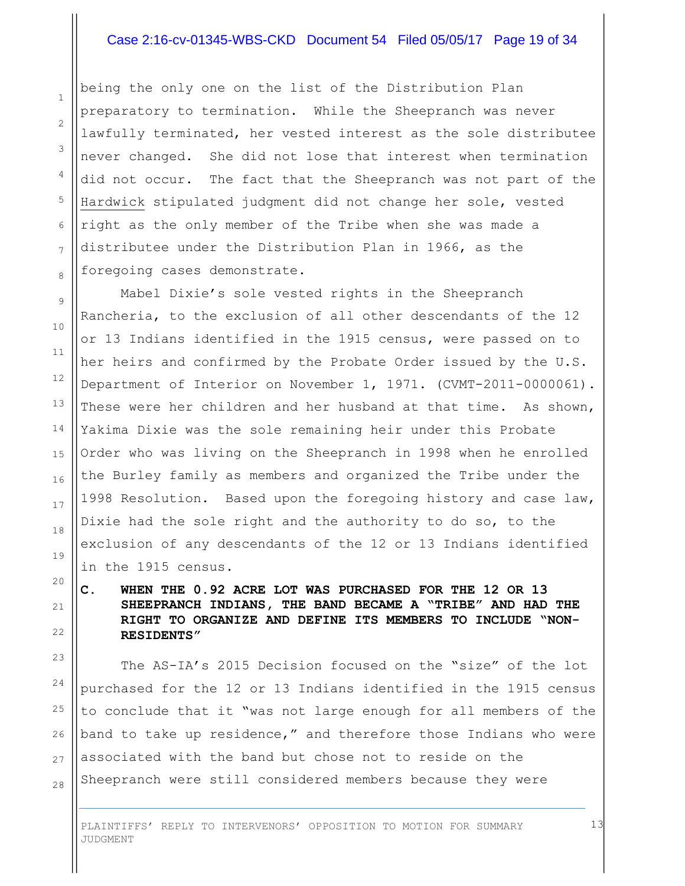#### Case 2:16-cv-01345-WBS-CKD Document 54 Filed 05/05/17 Page 19 of 34

being the only one on the list of the Distribution Plan preparatory to termination. While the Sheepranch was never lawfully terminated, her vested interest as the sole distributee never changed. She did not lose that interest when termination did not occur. The fact that the Sheepranch was not part of the Hardwick stipulated judgment did not change her sole, vested right as the only member of the Tribe when she was made a distributee under the Distribution Plan in 1966, as the foregoing cases demonstrate.

Mabel Dixie's sole vested rights in the Sheepranch Rancheria, to the exclusion of all other descendants of the 12 or 13 Indians identified in the 1915 census, were passed on to her heirs and confirmed by the Probate Order issued by the U.S. Department of Interior on November 1, 1971. (CVMT-2011-0000061). These were her children and her husband at that time. As shown, Yakima Dixie was the sole remaining heir under this Probate Order who was living on the Sheepranch in 1998 when he enrolled the Burley family as members and organized the Tribe under the 1998 Resolution. Based upon the foregoing history and case law, Dixie had the sole right and the authority to do so, to the exclusion of any descendants of the 12 or 13 Indians identified in the 1915 census.

## **C. WHEN THE 0.92 ACRE LOT WAS PURCHASED FOR THE 12 OR 13 SHEEPRANCH INDIANS, THE BAND BECAME A "TRIBE" AND HAD THE RIGHT TO ORGANIZE AND DEFINE ITS MEMBERS TO INCLUDE "NON-RESIDENTS"**

The AS-IA's 2015 Decision focused on the "size" of the lot purchased for the 12 or 13 Indians identified in the 1915 census to conclude that it "was not large enough for all members of the band to take up residence," and therefore those Indians who were associated with the band but chose not to reside on the Sheepranch were still considered members because they were

13

PLAINTIFFS' REPLY TO INTERVENORS' OPPOSITION TO MOTION FOR SUMMARY JUDGMENT

1

2

3

4

5

6

7

8

9

10

11

12

13

14

15

16

17

18

19

20

21

22

23

24

25

26

27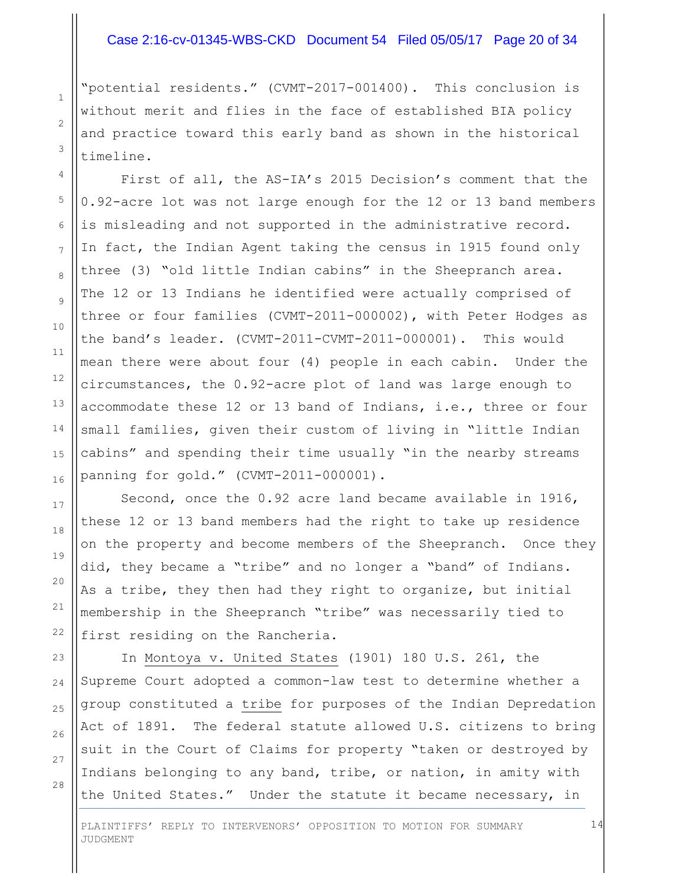#### Case 2:16-cv-01345-WBS-CKD Document 54 Filed 05/05/17 Page 20 of 34

"potential residents." (CVMT-2017-001400). This conclusion is without merit and flies in the face of established BIA policy and practice toward this early band as shown in the historical timeline.

1

2

3

4

5

6

7

8

9

10

11

12

13

14

15

16

17

18

19

20

21

22

23

24

25

26

27

28

First of all, the AS-IA's 2015 Decision's comment that the 0.92-acre lot was not large enough for the 12 or 13 band members is misleading and not supported in the administrative record. In fact, the Indian Agent taking the census in 1915 found only three (3) "old little Indian cabins" in the Sheepranch area. The 12 or 13 Indians he identified were actually comprised of three or four families (CVMT-2011-000002), with Peter Hodges as the band's leader. (CVMT-2011-CVMT-2011-000001). This would mean there were about four (4) people in each cabin. Under the circumstances, the 0.92-acre plot of land was large enough to accommodate these 12 or 13 band of Indians, i.e., three or four small families, given their custom of living in "little Indian cabins" and spending their time usually "in the nearby streams panning for gold." (CVMT-2011-000001).

Second, once the 0.92 acre land became available in 1916, these 12 or 13 band members had the right to take up residence on the property and become members of the Sheepranch. Once they did, they became a "tribe" and no longer a "band" of Indians. As a tribe, they then had they right to organize, but initial membership in the Sheepranch "tribe" was necessarily tied to first residing on the Rancheria.

In Montoya v. United States (1901) 180 U.S. 261, the Supreme Court adopted a common-law test to determine whether a group constituted a tribe for purposes of the Indian Depredation Act of 1891. The federal statute allowed U.S. citizens to bring suit in the Court of Claims for property "taken or destroyed by Indians belonging to any band, tribe, or nation, in amity with the United States." Under the statute it became necessary, in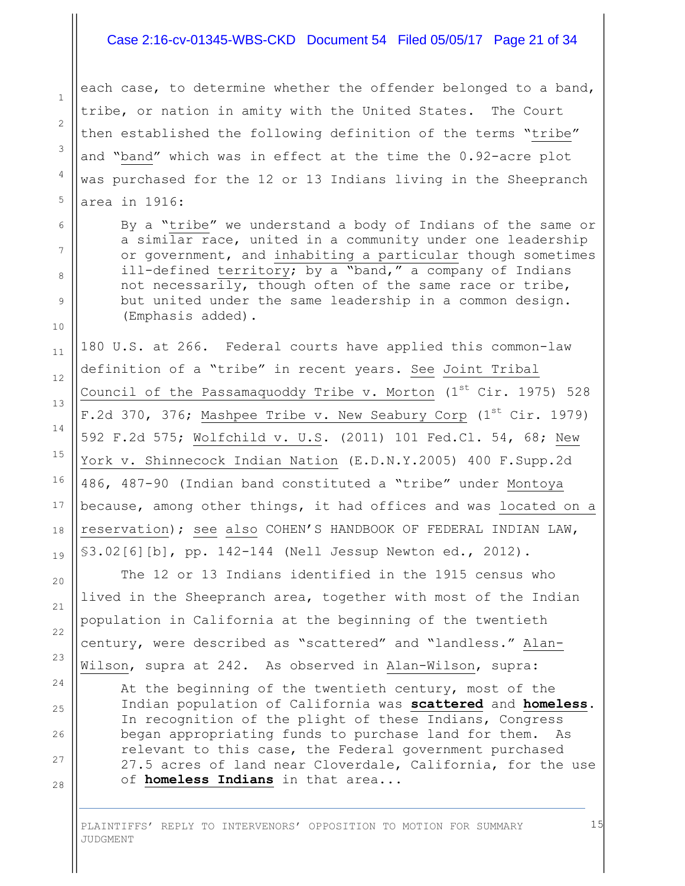#### Case 2:16-cv-01345-WBS-CKD Document 54 Filed 05/05/17 Page 21 of 34

each case, to determine whether the offender belonged to a band, tribe, or nation in amity with the United States. The Court then established the following definition of the terms "tribe" and "band" which was in effect at the time the 0.92-acre plot was purchased for the 12 or 13 Indians living in the Sheepranch area in 1916:

1

2

3

4

5

6

7

8

9

10

11

12

13

14

15

16

17

18

19

20

21

22

23

24

25

26

27

28

By a "tribe" we understand a body of Indians of the same or a similar race, united in a community under one leadership or government, and inhabiting a particular though sometimes ill-defined territory; by a "band," a company of Indians not necessarily, though often of the same race or tribe, but united under the same leadership in a common design. (Emphasis added).

180 U.S. at 266. Federal courts have applied this common-law definition of a "tribe" in recent years. See Joint Tribal Council of the Passamaquoddy Tribe v. Morton  $(1^{st}$  Cir. 1975) 528 F.2d 370, 376; Mashpee Tribe v. New Seabury Corp (1st Cir. 1979) 592 F.2d 575; Wolfchild v. U.S. (2011) 101 Fed.Cl. 54, 68; New York v. Shinnecock Indian Nation (E.D.N.Y.2005) 400 F.Supp.2d 486, 487-90 (Indian band constituted a "tribe" under Montoya because, among other things, it had offices and was located on a reservation); see also COHEN'S HANDBOOK OF FEDERAL INDIAN LAW, §3.02[6][b], pp. 142-144 (Nell Jessup Newton ed., 2012).

The 12 or 13 Indians identified in the 1915 census who lived in the Sheepranch area, together with most of the Indian population in California at the beginning of the twentieth century, were described as "scattered" and "landless." Alan-Wilson, supra at 242. As observed in Alan-Wilson, supra:

At the beginning of the twentieth century, most of the Indian population of California was **scattered** and **homeless**. In recognition of the plight of these Indians, Congress began appropriating funds to purchase land for them. As relevant to this case, the Federal government purchased 27.5 acres of land near Cloverdale, California, for the use of **homeless Indians** in that area...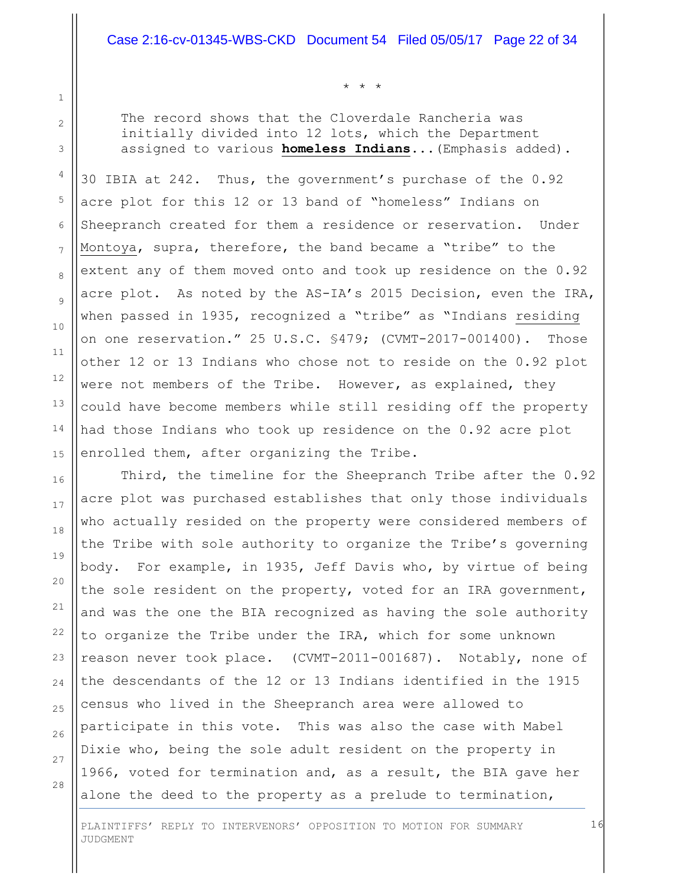\* \* \*

The record shows that the Cloverdale Rancheria was initially divided into 12 lots, which the Department assigned to various **homeless Indians**...(Emphasis added).

30 IBIA at 242. Thus, the government's purchase of the 0.92 acre plot for this 12 or 13 band of "homeless" Indians on Sheepranch created for them a residence or reservation. Under Montoya, supra, therefore, the band became a "tribe" to the extent any of them moved onto and took up residence on the 0.92 acre plot. As noted by the AS-IA's 2015 Decision, even the IRA, when passed in 1935, recognized a "tribe" as "Indians residing on one reservation." 25 U.S.C. §479; (CVMT-2017-001400). Those other 12 or 13 Indians who chose not to reside on the 0.92 plot were not members of the Tribe. However, as explained, they could have become members while still residing off the property had those Indians who took up residence on the 0.92 acre plot enrolled them, after organizing the Tribe.

Third, the timeline for the Sheepranch Tribe after the 0.92 acre plot was purchased establishes that only those individuals who actually resided on the property were considered members of the Tribe with sole authority to organize the Tribe's governing body. For example, in 1935, Jeff Davis who, by virtue of being the sole resident on the property, voted for an IRA government, and was the one the BIA recognized as having the sole authority to organize the Tribe under the IRA, which for some unknown reason never took place. (CVMT-2011-001687). Notably, none of the descendants of the 12 or 13 Indians identified in the 1915 census who lived in the Sheepranch area were allowed to participate in this vote. This was also the case with Mabel Dixie who, being the sole adult resident on the property in 1966, voted for termination and, as a result, the BIA gave her alone the deed to the property as a prelude to termination,

27 28

1

2

3

4

5

6

7

8

9

10

11

12

13

14

15

16

17

18

19

20

21

22

23

24

25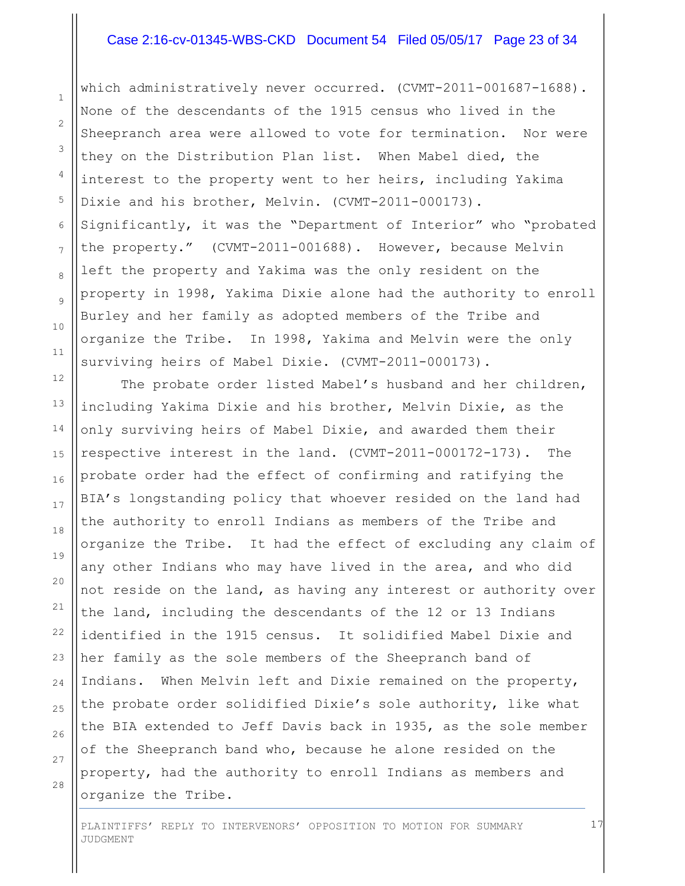#### Case 2:16-cv-01345-WBS-CKD Document 54 Filed 05/05/17 Page 23 of 34

which administratively never occurred. (CVMT-2011-001687-1688). None of the descendants of the 1915 census who lived in the Sheepranch area were allowed to vote for termination. Nor were they on the Distribution Plan list. When Mabel died, the interest to the property went to her heirs, including Yakima Dixie and his brother, Melvin. (CVMT-2011-000173). Significantly, it was the "Department of Interior" who "probated the property." (CVMT-2011-001688). However, because Melvin left the property and Yakima was the only resident on the property in 1998, Yakima Dixie alone had the authority to enroll Burley and her family as adopted members of the Tribe and organize the Tribe. In 1998, Yakima and Melvin were the only surviving heirs of Mabel Dixie. (CVMT-2011-000173).

The probate order listed Mabel's husband and her children, including Yakima Dixie and his brother, Melvin Dixie, as the only surviving heirs of Mabel Dixie, and awarded them their respective interest in the land. (CVMT-2011-000172-173). The probate order had the effect of confirming and ratifying the BIA's longstanding policy that whoever resided on the land had the authority to enroll Indians as members of the Tribe and organize the Tribe. It had the effect of excluding any claim of any other Indians who may have lived in the area, and who did not reside on the land, as having any interest or authority over the land, including the descendants of the 12 or 13 Indians identified in the 1915 census. It solidified Mabel Dixie and her family as the sole members of the Sheepranch band of Indians. When Melvin left and Dixie remained on the property, the probate order solidified Dixie's sole authority, like what the BIA extended to Jeff Davis back in 1935, as the sole member of the Sheepranch band who, because he alone resided on the property, had the authority to enroll Indians as members and organize the Tribe.

25  $26$ 27

1

2

3

4

5

6

7

8

9

10

11

12

13

14

15

16

17

18

19

20

21

22

23

24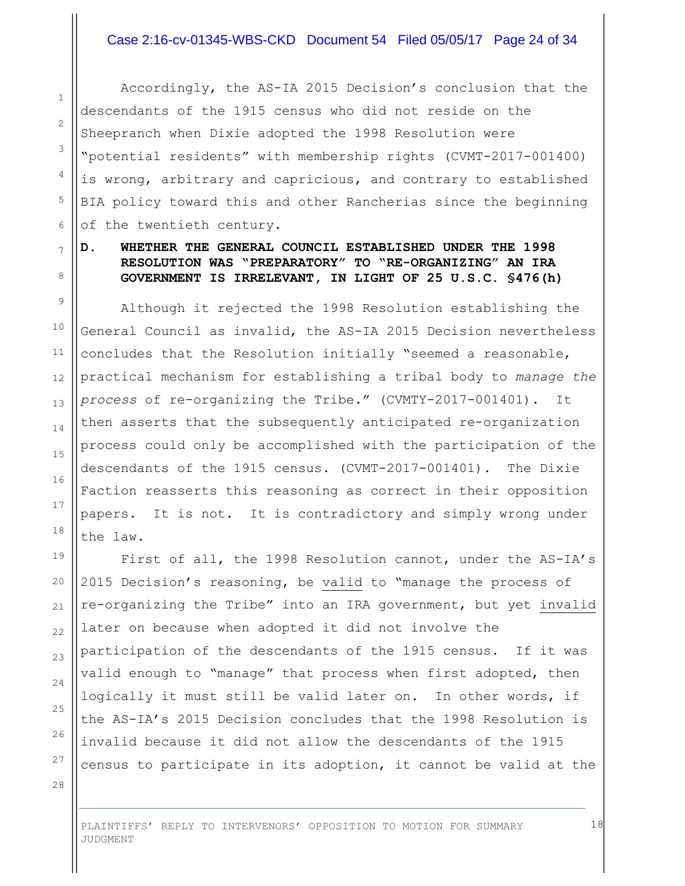Accordingly, the AS-IA 2015 Decision's conclusion that the descendants of the 1915 census who did not reside on the Sheepranch when Dixie adopted the 1998 Resolution were "potential residents" with membership rights (CVMT-2017-001400) is wrong, arbitrary and capricious, and contrary to established BIA policy toward this and other Rancherias since the beginning of the twentieth century.

## **D. WHETHER THE GENERAL COUNCIL ESTABLISHED UNDER THE 1998 RESOLUTION WAS "PREPARATORY" TO "RE-ORGANIZING" AN IRA GOVERNMENT IS IRRELEVANT, IN LIGHT OF 25 U.S.C. §476(h)**

Although it rejected the 1998 Resolution establishing the General Council as invalid, the AS-IA 2015 Decision nevertheless concludes that the Resolution initially "seemed a reasonable, practical mechanism for establishing a tribal body to *manage the process* of re-organizing the Tribe." (CVMTY-2017-001401). It then asserts that the subsequently anticipated re-organization process could only be accomplished with the participation of the descendants of the 1915 census. (CVMT-2017-001401). The Dixie Faction reasserts this reasoning as correct in their opposition papers. It is not. It is contradictory and simply wrong under the law.

First of all, the 1998 Resolution cannot, under the AS-IA's 2015 Decision's reasoning, be valid to "manage the process of re-organizing the Tribe" into an IRA government, but yet invalid later on because when adopted it did not involve the participation of the descendants of the 1915 census. If it was valid enough to "manage" that process when first adopted, then logically it must still be valid later on. In other words, if the AS-IA's 2015 Decision concludes that the 1998 Resolution is invalid because it did not allow the descendants of the 1915 census to participate in its adoption, it cannot be valid at the

28

1

2

3

4

5

6

7

8

9

10

11

12

13

14

15

16

17

18

19

20

21

22

23

24

25

26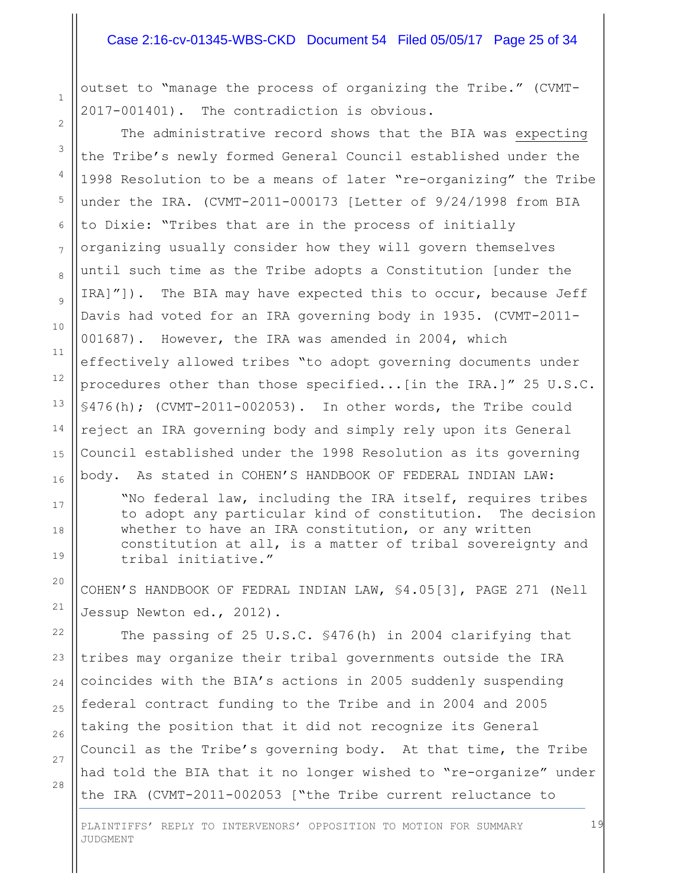#### Case 2:16-cv-01345-WBS-CKD Document 54 Filed 05/05/17 Page 25 of 34

outset to "manage the process of organizing the Tribe." (CVMT-2017-001401). The contradiction is obvious.

The administrative record shows that the BIA was expecting the Tribe's newly formed General Council established under the 1998 Resolution to be a means of later "re-organizing" the Tribe under the IRA. (CVMT-2011-000173 [Letter of 9/24/1998 from BIA to Dixie: "Tribes that are in the process of initially organizing usually consider how they will govern themselves until such time as the Tribe adopts a Constitution [under the IRA]"]). The BIA may have expected this to occur, because Jeff Davis had voted for an IRA governing body in 1935. (CVMT-2011- 001687). However, the IRA was amended in 2004, which effectively allowed tribes "to adopt governing documents under procedures other than those specified...[in the IRA.]" 25 U.S.C. §476(h); (CVMT-2011-002053). In other words, the Tribe could reject an IRA governing body and simply rely upon its General Council established under the 1998 Resolution as its governing body. As stated in COHEN'S HANDBOOK OF FEDERAL INDIAN LAW:

"No federal law, including the IRA itself, requires tribes to adopt any particular kind of constitution. The decision whether to have an IRA constitution, or any written constitution at all, is a matter of tribal sovereignty and tribal initiative."

COHEN'S HANDBOOK OF FEDRAL INDIAN LAW, §4.05[3], PAGE 271 (Nell Jessup Newton ed., 2012).

22 25 26 The passing of 25 U.S.C. §476(h) in 2004 clarifying that tribes may organize their tribal governments outside the IRA coincides with the BIA's actions in 2005 suddenly suspending federal contract funding to the Tribe and in 2004 and 2005 taking the position that it did not recognize its General Council as the Tribe's governing body. At that time, the Tribe had told the BIA that it no longer wished to "re-organize" under the IRA (CVMT-2011-002053 ["the Tribe current reluctance to

27 28

1

2

3

4

5

6

7

8

9

10

11

12

13

14

15

16

17

18

19

20

21

23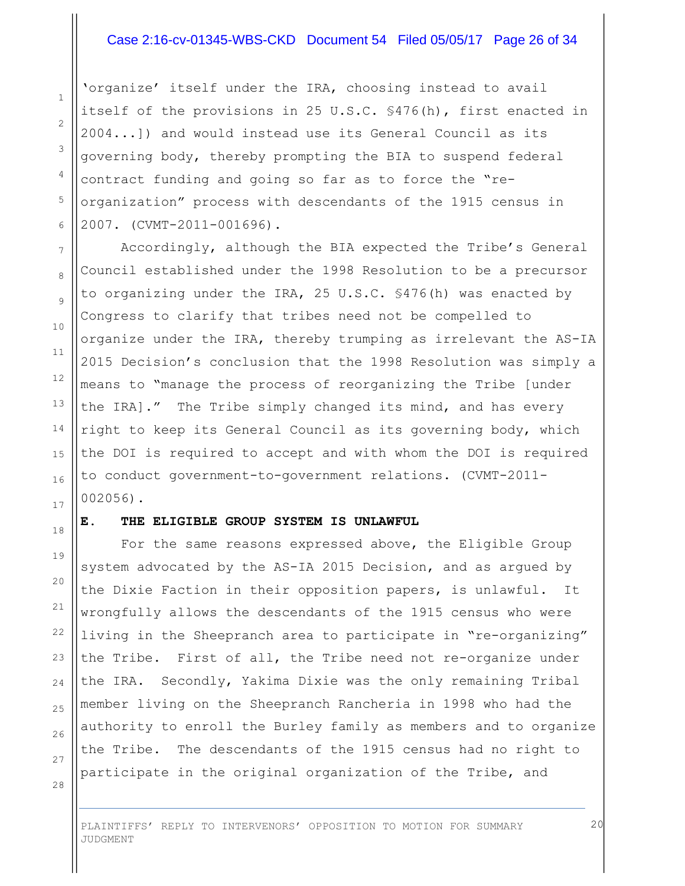#### Case 2:16-cv-01345-WBS-CKD Document 54 Filed 05/05/17 Page 26 of 34

'organize' itself under the IRA, choosing instead to avail itself of the provisions in 25 U.S.C. §476(h), first enacted in 2004...]) and would instead use its General Council as its governing body, thereby prompting the BIA to suspend federal contract funding and going so far as to force the "reorganization" process with descendants of the 1915 census in 2007. (CVMT-2011-001696).

Accordingly, although the BIA expected the Tribe's General Council established under the 1998 Resolution to be a precursor to organizing under the IRA, 25 U.S.C. §476(h) was enacted by Congress to clarify that tribes need not be compelled to organize under the IRA, thereby trumping as irrelevant the AS-IA 2015 Decision's conclusion that the 1998 Resolution was simply a means to "manage the process of reorganizing the Tribe [under the IRA]." The Tribe simply changed its mind, and has every right to keep its General Council as its governing body, which the DOI is required to accept and with whom the DOI is required to conduct government-to-government relations. (CVMT-2011- 002056).

#### **E. THE ELIGIBLE GROUP SYSTEM IS UNLAWFUL**

For the same reasons expressed above, the Eligible Group system advocated by the AS-IA 2015 Decision, and as argued by the Dixie Faction in their opposition papers, is unlawful. It wrongfully allows the descendants of the 1915 census who were living in the Sheepranch area to participate in "re-organizing" the Tribe. First of all, the Tribe need not re-organize under the IRA. Secondly, Yakima Dixie was the only remaining Tribal member living on the Sheepranch Rancheria in 1998 who had the authority to enroll the Burley family as members and to organize the Tribe. The descendants of the 1915 census had no right to participate in the original organization of the Tribe, and

28

1

2

3

4

5

6

7

8

9

10

11

12

13

14

15

16

17

18

19

20

21

22

23

24

25

26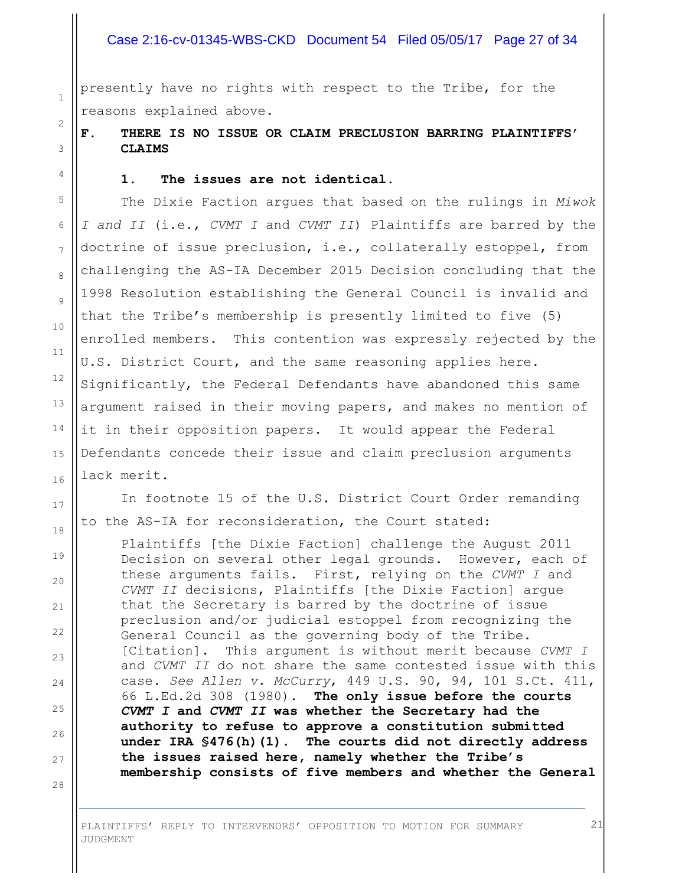#### Case 2:16-cv-01345-WBS-CKD Document 54 Filed 05/05/17 Page 27 of 34

presently have no rights with respect to the Tribe, for the reasons explained above.

**F. THERE IS NO ISSUE OR CLAIM PRECLUSION BARRING PLAINTIFFS' CLAIMS**

#### **1. The issues are not identical.**

The Dixie Faction argues that based on the rulings in *Miwok I and II* (i.e., *CVMT I* and *CVMT II*) Plaintiffs are barred by the doctrine of issue preclusion, i.e., collaterally estoppel, from challenging the AS-IA December 2015 Decision concluding that the 1998 Resolution establishing the General Council is invalid and that the Tribe's membership is presently limited to five (5) enrolled members. This contention was expressly rejected by the U.S. District Court, and the same reasoning applies here. Significantly, the Federal Defendants have abandoned this same argument raised in their moving papers, and makes no mention of it in their opposition papers. It would appear the Federal Defendants concede their issue and claim preclusion arguments lack merit.

In footnote 15 of the U.S. District Court Order remanding to the AS-IA for reconsideration, the Court stated:

Plaintiffs [the Dixie Faction] challenge the August 2011 Decision on several other legal grounds. However, each of these arguments fails. First, relying on the *CVMT I* and *CVMT II* decisions, Plaintiffs [the Dixie Faction] argue that the Secretary is barred by the doctrine of issue preclusion and/or judicial estoppel from recognizing the General Council as the governing body of the Tribe. [Citation]. This argument is without merit because *CVMT I* and *CVMT II* do not share the same contested issue with this case. *See Allen v. McCurry*, 449 U.S. 90, 94, 101 S.Ct. 411, 66 L.Ed.2d 308 (1980). **The only issue before the courts**  *CVMT I* **and** *CVMT II* **was whether the Secretary had the authority to refuse to approve a constitution submitted under IRA §476(h)(1)**. **The courts did not directly address the issues raised here, namely whether the Tribe's membership consists of five members and whether the General** 

JUDGMENT

1

2

3

4

5

6

7

8

9

10

11

12

13

14

15

16

17

18

19

20

21

22

23

24

25

26

27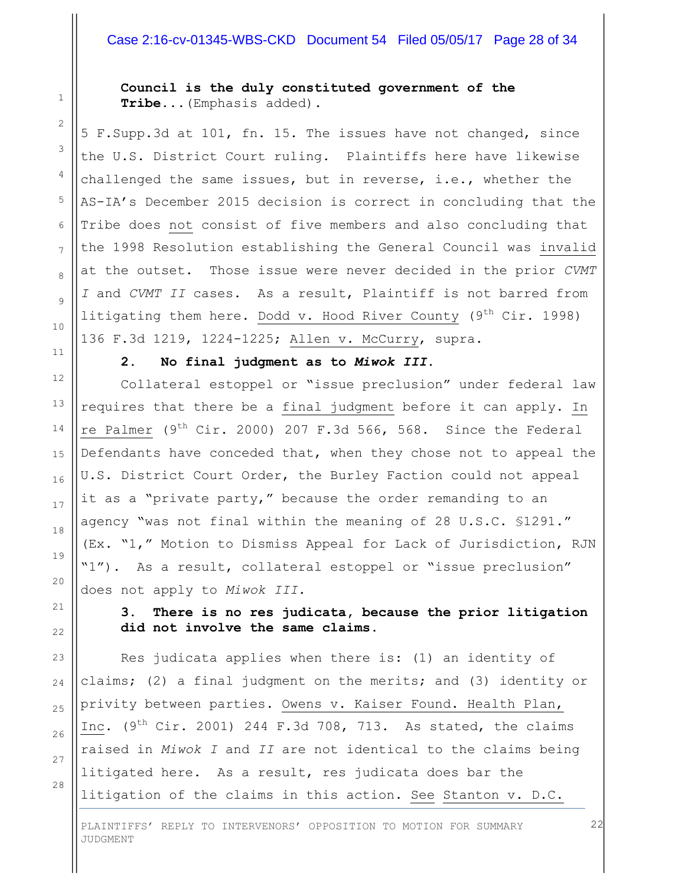### Case 2:16-cv-01345-WBS-CKD Document 54 Filed 05/05/17 Page 28 of 34

**Council is the duly constituted government of the Tribe...**(Emphasis added).

5 F.Supp.3d at 101, fn. 15. The issues have not changed, since the U.S. District Court ruling. Plaintiffs here have likewise challenged the same issues, but in reverse, i.e., whether the AS-IA's December 2015 decision is correct in concluding that the Tribe does not consist of five members and also concluding that the 1998 Resolution establishing the General Council was invalid at the outset. Those issue were never decided in the prior *CVMT I* and *CVMT II* cases. As a result, Plaintiff is not barred from litigating them here. Dodd v. Hood River County (9<sup>th</sup> Cir. 1998) 136 F.3d 1219, 1224-1225; Allen v. McCurry, supra.

1

2

3

4

5

6

7

8

9

10

11

12

13

14

15

16

17

18

19

20

21

 $22$ 

23

24

25

26

27

28

#### **2. No final judgment as to** *Miwok III***.**

Collateral estoppel or "issue preclusion" under federal law requires that there be a final judgment before it can apply. In re Palmer (9<sup>th</sup> Cir. 2000) 207 F.3d 566, 568. Since the Federal Defendants have conceded that, when they chose not to appeal the U.S. District Court Order, the Burley Faction could not appeal it as a "private party," because the order remanding to an agency "was not final within the meaning of 28 U.S.C. §1291." (Ex. "1," Motion to Dismiss Appeal for Lack of Jurisdiction, RJN "1"). As a result, collateral estoppel or "issue preclusion" does not apply to *Miwok III*.

**3. There is no res judicata, because the prior litigation did not involve the same claims.**

Res judicata applies when there is: (1) an identity of claims; (2) a final judgment on the merits; and (3) identity or privity between parties. Owens v. Kaiser Found. Health Plan, Inc.  $(9^{th}$  Cir. 2001) 244 F.3d 708, 713. As stated, the claims raised in *Miwok I* and *II* are not identical to the claims being litigated here. As a result, res judicata does bar the litigation of the claims in this action. See Stanton v. D.C.

PLAINTIFFS' REPLY TO INTERVENORS' OPPOSITION TO MOTION FOR SUMMARY JUDGMENT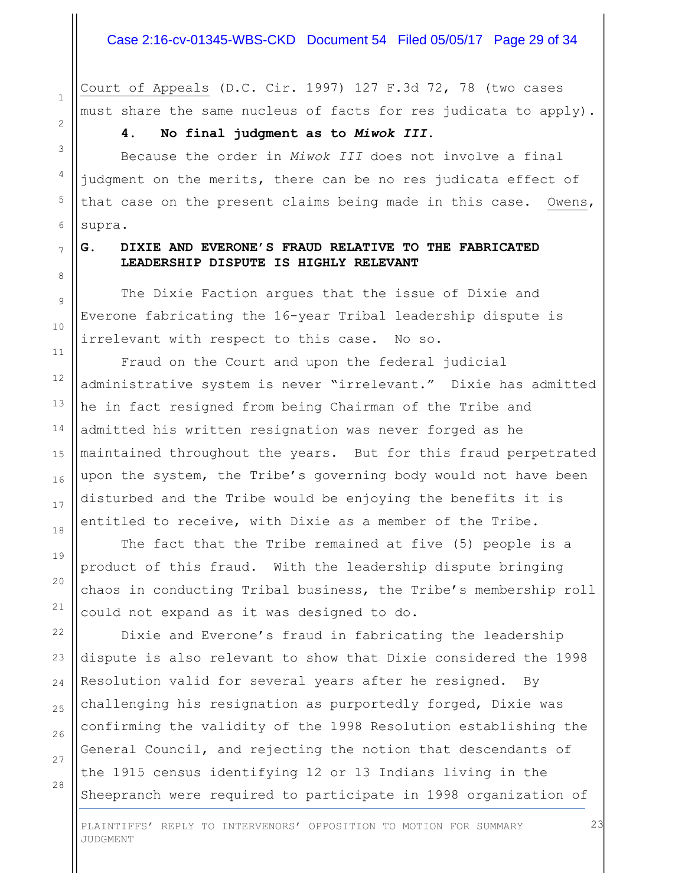Court of Appeals (D.C. Cir. 1997) 127 F.3d 72, 78 (two cases must share the same nucleus of facts for res judicata to apply).

**4. No final judgment as to** *Miwok III***.**

Because the order in *Miwok III* does not involve a final judgment on the merits, there can be no res judicata effect of that case on the present claims being made in this case. Owens, supra.

## **G. DIXIE AND EVERONE'S FRAUD RELATIVE TO THE FABRICATED LEADERSHIP DISPUTE IS HIGHLY RELEVANT**

The Dixie Faction argues that the issue of Dixie and Everone fabricating the 16-year Tribal leadership dispute is irrelevant with respect to this case. No so.

Fraud on the Court and upon the federal judicial administrative system is never "irrelevant." Dixie has admitted he in fact resigned from being Chairman of the Tribe and admitted his written resignation was never forged as he maintained throughout the years. But for this fraud perpetrated upon the system, the Tribe's governing body would not have been disturbed and the Tribe would be enjoying the benefits it is entitled to receive, with Dixie as a member of the Tribe.

The fact that the Tribe remained at five (5) people is a product of this fraud. With the leadership dispute bringing chaos in conducting Tribal business, the Tribe's membership roll could not expand as it was designed to do.

Dixie and Everone's fraud in fabricating the leadership dispute is also relevant to show that Dixie considered the 1998 Resolution valid for several years after he resigned. By challenging his resignation as purportedly forged, Dixie was confirming the validity of the 1998 Resolution establishing the General Council, and rejecting the notion that descendants of the 1915 census identifying 12 or 13 Indians living in the Sheepranch were required to participate in 1998 organization of

PLAINTIFFS' REPLY TO INTERVENORS' OPPOSITION TO MOTION FOR SUMMARY JUDGMENT

# 7 8

9

10

11

12

13

14

15

16

17

18

19

20

21

22

23

24

25

26

27

28

1

2

3

4

5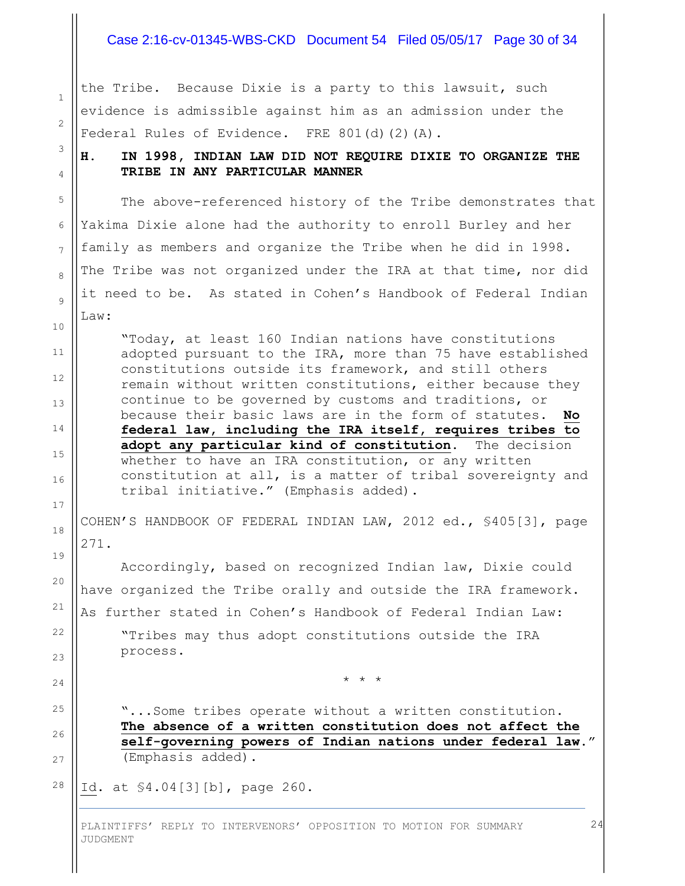#### Case 2:16-cv-01345-WBS-CKD Document 54 Filed 05/05/17 Page 30 of 34

the Tribe. Because Dixie is a party to this lawsuit, such evidence is admissible against him as an admission under the Federal Rules of Evidence. FRE 801(d)(2)(A).

1

2

3

4

5

6

7

8

9

10

11

12

13

14

15

16

17

18

19

20

21

22

23

24

25

26

27

**H. IN 1998, INDIAN LAW DID NOT REQUIRE DIXIE TO ORGANIZE THE TRIBE IN ANY PARTICULAR MANNER**

The above-referenced history of the Tribe demonstrates that Yakima Dixie alone had the authority to enroll Burley and her family as members and organize the Tribe when he did in 1998. The Tribe was not organized under the IRA at that time, nor did it need to be. As stated in Cohen's Handbook of Federal Indian Law:

"Today, at least 160 Indian nations have constitutions adopted pursuant to the IRA, more than 75 have established constitutions outside its framework, and still others remain without written constitutions, either because they continue to be governed by customs and traditions, or because their basic laws are in the form of statutes. **No federal law, including the IRA itself, requires tribes to adopt any particular kind of constitution**. The decision whether to have an IRA constitution, or any written constitution at all, is a matter of tribal sovereignty and tribal initiative." (Emphasis added).

COHEN'S HANDBOOK OF FEDERAL INDIAN LAW, 2012 ed., §405[3], page 271.

Accordingly, based on recognized Indian law, Dixie could have organized the Tribe orally and outside the IRA framework. As further stated in Cohen's Handbook of Federal Indian Law: "Tribes may thus adopt constitutions outside the IRA process.

\* \* \*

"...Some tribes operate without a written constitution. **The absence of a written constitution does not affect the self-governing powers of Indian nations under federal law**." (Emphasis added).

28 Id. at §4.04[3][b], page 260.

> PLAINTIFFS' REPLY TO INTERVENORS' OPPOSITION TO MOTION FOR SUMMARY JUDGMENT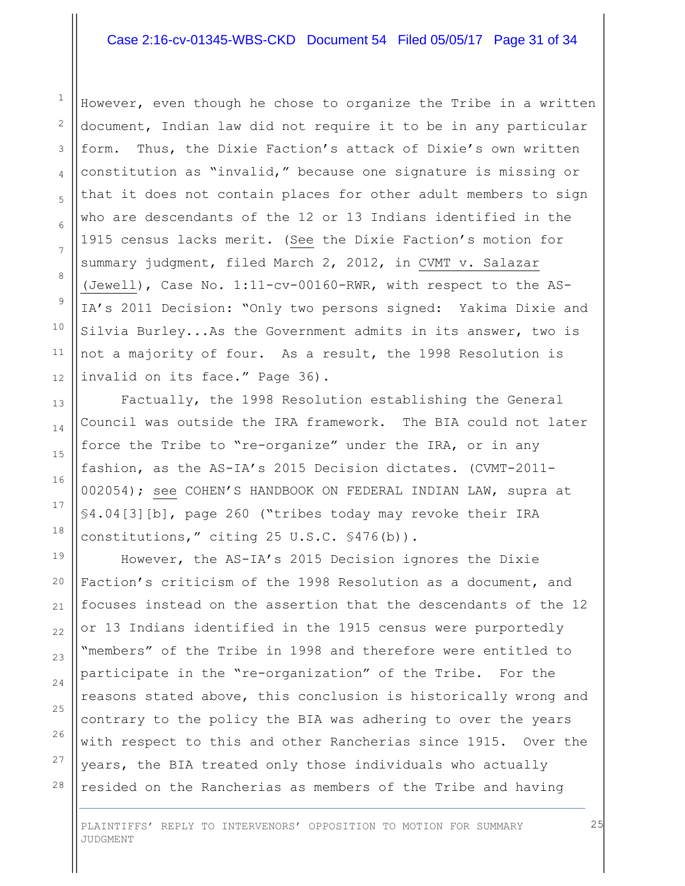#### Case 2:16-cv-01345-WBS-CKD Document 54 Filed 05/05/17 Page 31 of 34

However, even though he chose to organize the Tribe in a written document, Indian law did not require it to be in any particular form. Thus, the Dixie Faction's attack of Dixie's own written constitution as "invalid," because one signature is missing or that it does not contain places for other adult members to sign who are descendants of the 12 or 13 Indians identified in the 1915 census lacks merit. (See the Dixie Faction's motion for summary judgment, filed March 2, 2012, in CVMT v. Salazar (Jewell), Case No. 1:11-cv-00160-RWR, with respect to the AS-IA's 2011 Decision: "Only two persons signed: Yakima Dixie and Silvia Burley...As the Government admits in its answer, two is not a majority of four. As a result, the 1998 Resolution is invalid on its face." Page 36).

Factually, the 1998 Resolution establishing the General Council was outside the IRA framework. The BIA could not later force the Tribe to "re-organize" under the IRA, or in any fashion, as the AS-IA's 2015 Decision dictates. (CVMT-2011- 002054); see COHEN'S HANDBOOK ON FEDERAL INDIAN LAW, supra at §4.04[3][b], page 260 ("tribes today may revoke their IRA constitutions," citing 25 U.S.C. §476(b)).

However, the AS-IA's 2015 Decision ignores the Dixie Faction's criticism of the 1998 Resolution as a document, and focuses instead on the assertion that the descendants of the 12 or 13 Indians identified in the 1915 census were purportedly "members" of the Tribe in 1998 and therefore were entitled to participate in the "re-organization" of the Tribe. For the reasons stated above, this conclusion is historically wrong and contrary to the policy the BIA was adhering to over the years with respect to this and other Rancherias since 1915. Over the years, the BIA treated only those individuals who actually resided on the Rancherias as members of the Tribe and having

PLAINTIFFS' REPLY TO INTERVENORS' OPPOSITION TO MOTION FOR SUMMARY JUDGMENT

28

1

2

3

4

5

6

7

8

9

10

11

12

13

14

15

16

17

18

19

20

21

22

23

24

25

26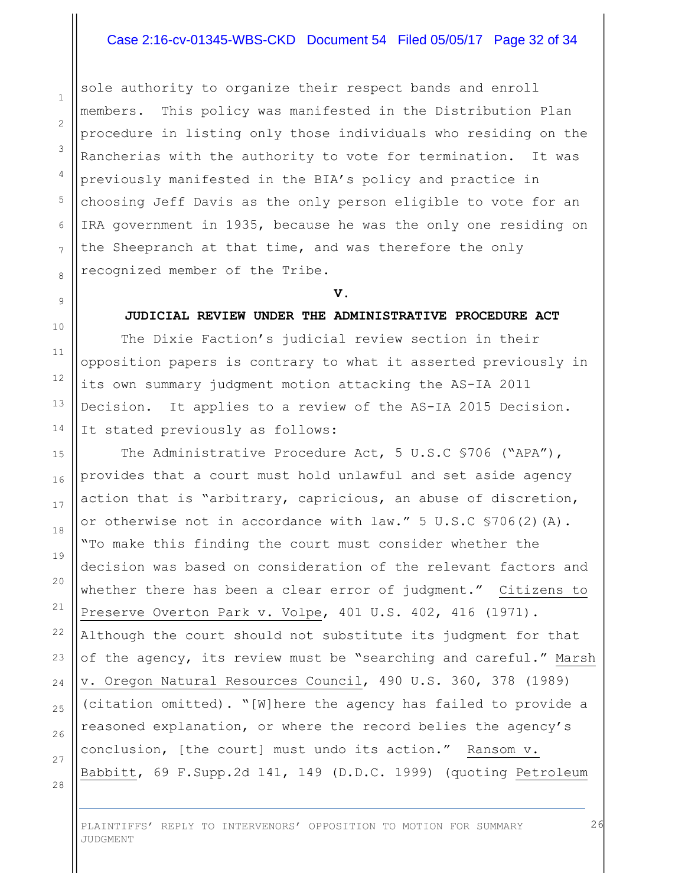#### Case 2:16-cv-01345-WBS-CKD Document 54 Filed 05/05/17 Page 32 of 34

sole authority to organize their respect bands and enroll members. This policy was manifested in the Distribution Plan procedure in listing only those individuals who residing on the Rancherias with the authority to vote for termination. It was previously manifested in the BIA's policy and practice in choosing Jeff Davis as the only person eligible to vote for an IRA government in 1935, because he was the only one residing on the Sheepranch at that time, and was therefore the only recognized member of the Tribe.

**V.**

#### **JUDICIAL REVIEW UNDER THE ADMINISTRATIVE PROCEDURE ACT**

The Dixie Faction's judicial review section in their opposition papers is contrary to what it asserted previously in its own summary judgment motion attacking the AS-IA 2011 Decision. It applies to a review of the AS-IA 2015 Decision. It stated previously as follows:

The Administrative Procedure Act, 5 U.S.C §706 ("APA"), provides that a court must hold unlawful and set aside agency action that is "arbitrary, capricious, an abuse of discretion, or otherwise not in accordance with  $law.''$  5 U.S.C  $$706(2)(A)$ . "To make this finding the court must consider whether the decision was based on consideration of the relevant factors and whether there has been a clear error of judgment." Citizens to Preserve Overton Park v. Volpe, 401 U.S. 402, 416 (1971). Although the court should not substitute its judgment for that of the agency, its review must be "searching and careful." Marsh v. Oregon Natural Resources Council, 490 U.S. 360, 378 (1989) (citation omitted). "[W]here the agency has failed to provide a reasoned explanation, or where the record belies the agency's conclusion, [the court] must undo its action." Ransom v. Babbitt, 69 F.Supp.2d 141, 149 (D.D.C. 1999) (quoting Petroleum

28

1

2

3

4

5

6

7

8

9

10

11

12

13

14

15

16

17

18

19

20

21

22

23

24

25

26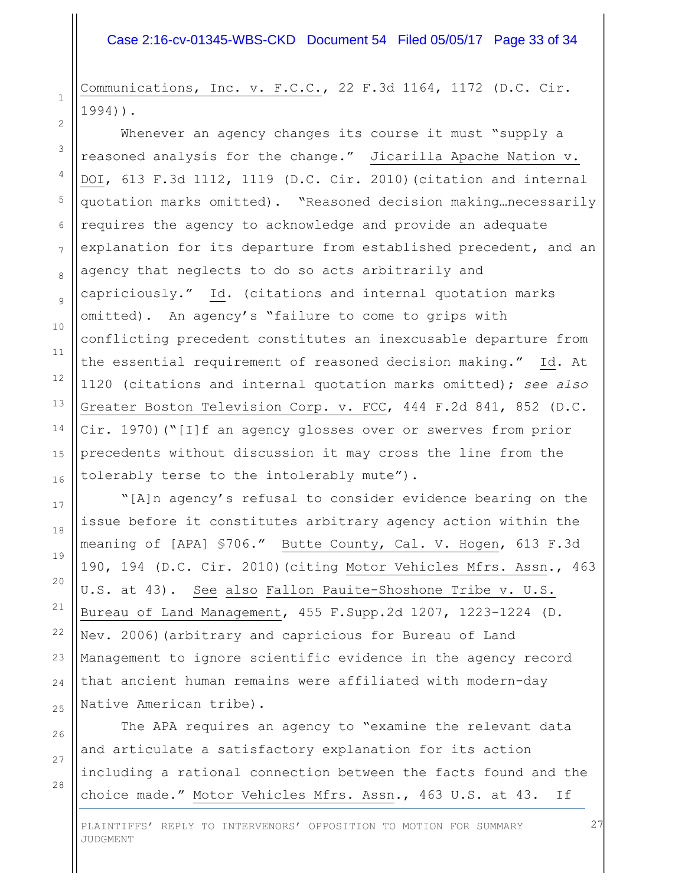Communications, Inc. v. F.C.C., 22 F.3d 1164, 1172 (D.C. Cir. 1994)).

1

2

3

4

5

6

7

8

9

10

11

12

13

14

15

16

17

18

19

20

21

22

23

24

25

26

27

28

Whenever an agency changes its course it must "supply a reasoned analysis for the change." Jicarilla Apache Nation v. DOI, 613 F.3d 1112, 1119 (D.C. Cir. 2010)(citation and internal quotation marks omitted). "Reasoned decision making…necessarily requires the agency to acknowledge and provide an adequate explanation for its departure from established precedent, and an agency that neglects to do so acts arbitrarily and capriciously." Id. (citations and internal quotation marks omitted). An agency's "failure to come to grips with conflicting precedent constitutes an inexcusable departure from the essential requirement of reasoned decision making." Id. At 1120 (citations and internal quotation marks omitted); *see also* Greater Boston Television Corp. v. FCC, 444 F.2d 841, 852 (D.C. Cir. 1970)("[I]f an agency glosses over or swerves from prior precedents without discussion it may cross the line from the tolerably terse to the intolerably mute").

"[A]n agency's refusal to consider evidence bearing on the issue before it constitutes arbitrary agency action within the meaning of [APA] §706." Butte County, Cal. V. Hogen, 613 F.3d 190, 194 (D.C. Cir. 2010)(citing Motor Vehicles Mfrs. Assn., 463 U.S. at 43). See also Fallon Pauite-Shoshone Tribe v. U.S. Bureau of Land Management, 455 F.Supp.2d 1207, 1223-1224 (D. Nev. 2006)(arbitrary and capricious for Bureau of Land Management to ignore scientific evidence in the agency record that ancient human remains were affiliated with modern-day Native American tribe).

The APA requires an agency to "examine the relevant data and articulate a satisfactory explanation for its action including a rational connection between the facts found and the choice made." Motor Vehicles Mfrs. Assn., 463 U.S. at 43. If